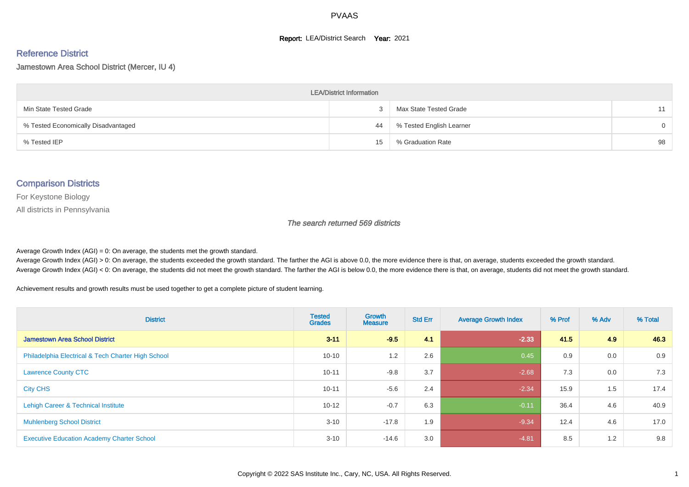#### **Report: LEA/District Search Year: 2021**

#### Reference District

#### Jamestown Area School District (Mercer, IU 4)

| <b>LEA/District Information</b>     |    |                          |          |  |  |  |  |  |  |  |
|-------------------------------------|----|--------------------------|----------|--|--|--|--|--|--|--|
| Min State Tested Grade              |    | Max State Tested Grade   | 11       |  |  |  |  |  |  |  |
| % Tested Economically Disadvantaged | 44 | % Tested English Learner | $\Omega$ |  |  |  |  |  |  |  |
| % Tested IEP                        | 15 | % Graduation Rate        | 98       |  |  |  |  |  |  |  |

#### Comparison Districts

For Keystone Biology

All districts in Pennsylvania

The search returned 569 districts

Average Growth Index  $(AGI) = 0$ : On average, the students met the growth standard.

Average Growth Index (AGI) > 0: On average, the students exceeded the growth standard. The farther the AGI is above 0.0, the more evidence there is that, on average, students exceeded the growth standard. Average Growth Index (AGI) < 0: On average, the students did not meet the growth standard. The farther the AGI is below 0.0, the more evidence there is that, on average, students did not meet the growth standard.

Achievement results and growth results must be used together to get a complete picture of student learning.

| <b>District</b>                                    | <b>Tested</b><br><b>Grades</b> | <b>Growth</b><br><b>Measure</b> | <b>Std Err</b> | <b>Average Growth Index</b> | % Prof | % Adv | % Total |
|----------------------------------------------------|--------------------------------|---------------------------------|----------------|-----------------------------|--------|-------|---------|
| <b>Jamestown Area School District</b>              | $3 - 11$                       | $-9.5$                          | 4.1            | $-2.33$                     | 41.5   | 4.9   | 46.3    |
| Philadelphia Electrical & Tech Charter High School | $10 - 10$                      | 1.2                             | 2.6            | 0.45                        | 0.9    | 0.0   | 0.9     |
| <b>Lawrence County CTC</b>                         | $10 - 11$                      | $-9.8$                          | 3.7            | $-2.68$                     | 7.3    | 0.0   | 7.3     |
| <b>City CHS</b>                                    | $10 - 11$                      | $-5.6$                          | 2.4            | $-2.34$                     | 15.9   | 1.5   | 17.4    |
| Lehigh Career & Technical Institute                | $10 - 12$                      | $-0.7$                          | 6.3            | $-0.11$                     | 36.4   | 4.6   | 40.9    |
| <b>Muhlenberg School District</b>                  | $3 - 10$                       | $-17.8$                         | 1.9            | $-9.34$                     | 12.4   | 4.6   | 17.0    |
| <b>Executive Education Academy Charter School</b>  | $3 - 10$                       | $-14.6$                         | 3.0            | $-4.81$                     | 8.5    | 1.2   | 9.8     |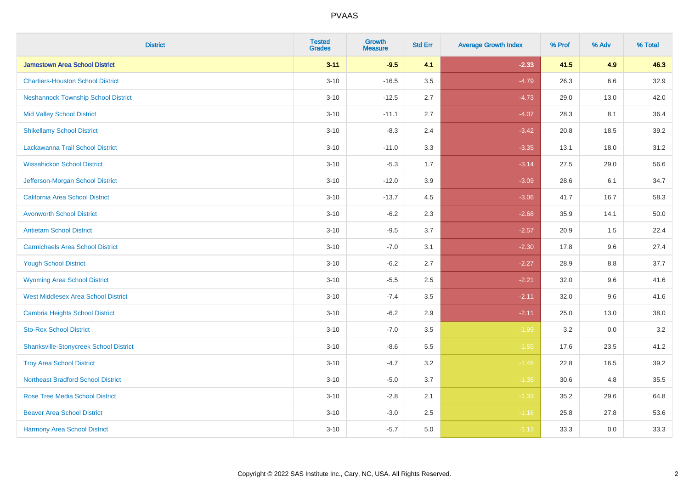| <b>District</b>                               | <b>Tested</b><br><b>Grades</b> | <b>Growth</b><br><b>Measure</b> | <b>Std Err</b> | <b>Average Growth Index</b> | % Prof | % Adv   | % Total |
|-----------------------------------------------|--------------------------------|---------------------------------|----------------|-----------------------------|--------|---------|---------|
| <b>Jamestown Area School District</b>         | $3 - 11$                       | $-9.5$                          | 4.1            | $-2.33$                     | 41.5   | 4.9     | 46.3    |
| <b>Chartiers-Houston School District</b>      | $3 - 10$                       | $-16.5$                         | 3.5            | $-4.79$                     | 26.3   | $6.6\,$ | 32.9    |
| <b>Neshannock Township School District</b>    | $3 - 10$                       | $-12.5$                         | 2.7            | $-4.73$                     | 29.0   | 13.0    | 42.0    |
| <b>Mid Valley School District</b>             | $3 - 10$                       | $-11.1$                         | 2.7            | $-4.07$                     | 28.3   | 8.1     | 36.4    |
| <b>Shikellamy School District</b>             | $3 - 10$                       | $-8.3$                          | 2.4            | $-3.42$                     | 20.8   | 18.5    | 39.2    |
| Lackawanna Trail School District              | $3 - 10$                       | $-11.0$                         | 3.3            | $-3.35$                     | 13.1   | 18.0    | 31.2    |
| <b>Wissahickon School District</b>            | $3 - 10$                       | $-5.3$                          | 1.7            | $-3.14$                     | 27.5   | 29.0    | 56.6    |
| Jefferson-Morgan School District              | $3 - 10$                       | $-12.0$                         | 3.9            | $-3.09$                     | 28.6   | 6.1     | 34.7    |
| California Area School District               | $3 - 10$                       | $-13.7$                         | 4.5            | $-3.06$                     | 41.7   | 16.7    | 58.3    |
| <b>Avonworth School District</b>              | $3 - 10$                       | $-6.2$                          | 2.3            | $-2.68$                     | 35.9   | 14.1    | 50.0    |
| <b>Antietam School District</b>               | $3 - 10$                       | $-9.5$                          | 3.7            | $-2.57$                     | 20.9   | 1.5     | 22.4    |
| <b>Carmichaels Area School District</b>       | $3 - 10$                       | $-7.0$                          | 3.1            | $-2.30$                     | 17.8   | 9.6     | 27.4    |
| <b>Yough School District</b>                  | $3 - 10$                       | $-6.2$                          | 2.7            | $-2.27$                     | 28.9   | $8.8\,$ | 37.7    |
| <b>Wyoming Area School District</b>           | $3 - 10$                       | $-5.5$                          | 2.5            | $-2.21$                     | 32.0   | 9.6     | 41.6    |
| <b>West Middlesex Area School District</b>    | $3 - 10$                       | $-7.4$                          | 3.5            | $-2.11$                     | 32.0   | 9.6     | 41.6    |
| <b>Cambria Heights School District</b>        | $3 - 10$                       | $-6.2$                          | 2.9            | $-2.11$                     | 25.0   | 13.0    | 38.0    |
| <b>Sto-Rox School District</b>                | $3 - 10$                       | $-7.0$                          | 3.5            | $-1.99$                     | 3.2    | 0.0     | 3.2     |
| <b>Shanksville-Stonycreek School District</b> | $3 - 10$                       | $-8.6$                          | 5.5            | $-1.55$                     | 17.6   | 23.5    | 41.2    |
| <b>Troy Area School District</b>              | $3 - 10$                       | $-4.7$                          | 3.2            | $-1.46$                     | 22.8   | 16.5    | 39.2    |
| <b>Northeast Bradford School District</b>     | $3 - 10$                       | $-5.0$                          | 3.7            | $-1.35$                     | 30.6   | 4.8     | 35.5    |
| <b>Rose Tree Media School District</b>        | $3 - 10$                       | $-2.8$                          | 2.1            | $-1.33$                     | 35.2   | 29.6    | 64.8    |
| <b>Beaver Area School District</b>            | $3 - 10$                       | $-3.0$                          | 2.5            | $-1.16$                     | 25.8   | 27.8    | 53.6    |
| <b>Harmony Area School District</b>           | $3 - 10$                       | $-5.7$                          | 5.0            | $-1.13$                     | 33.3   | 0.0     | 33.3    |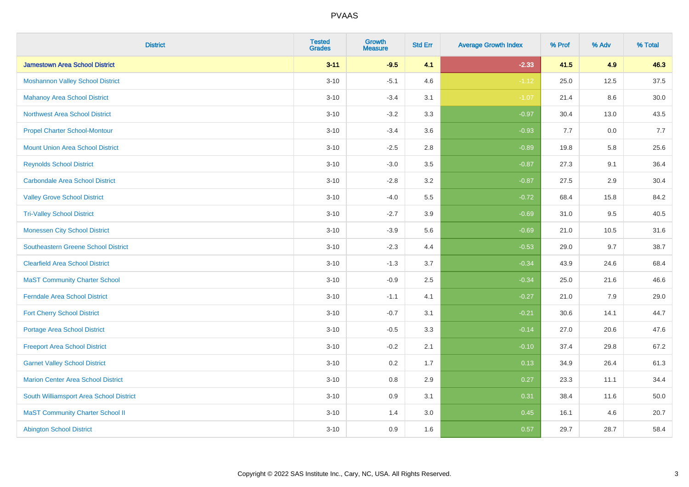| <b>District</b>                            | <b>Tested</b><br><b>Grades</b> | <b>Growth</b><br><b>Measure</b> | <b>Std Err</b> | <b>Average Growth Index</b> | % Prof | % Adv | % Total  |
|--------------------------------------------|--------------------------------|---------------------------------|----------------|-----------------------------|--------|-------|----------|
| <b>Jamestown Area School District</b>      | $3 - 11$                       | $-9.5$                          | 4.1            | $-2.33$                     | 41.5   | 4.9   | 46.3     |
| <b>Moshannon Valley School District</b>    | $3 - 10$                       | $-5.1$                          | 4.6            | $-1.12$                     | 25.0   | 12.5  | 37.5     |
| <b>Mahanoy Area School District</b>        | $3 - 10$                       | $-3.4$                          | 3.1            | $-1.07$                     | 21.4   | 8.6   | $30.0\,$ |
| Northwest Area School District             | $3 - 10$                       | $-3.2$                          | 3.3            | $-0.97$                     | 30.4   | 13.0  | 43.5     |
| <b>Propel Charter School-Montour</b>       | $3 - 10$                       | $-3.4$                          | 3.6            | $-0.93$                     | 7.7    | 0.0   | 7.7      |
| <b>Mount Union Area School District</b>    | $3 - 10$                       | $-2.5$                          | 2.8            | $-0.89$                     | 19.8   | 5.8   | 25.6     |
| <b>Reynolds School District</b>            | $3 - 10$                       | $-3.0$                          | 3.5            | $-0.87$                     | 27.3   | 9.1   | 36.4     |
| <b>Carbondale Area School District</b>     | $3 - 10$                       | $-2.8$                          | 3.2            | $-0.87$                     | 27.5   | 2.9   | 30.4     |
| <b>Valley Grove School District</b>        | $3 - 10$                       | $-4.0$                          | 5.5            | $-0.72$                     | 68.4   | 15.8  | 84.2     |
| <b>Tri-Valley School District</b>          | $3 - 10$                       | $-2.7$                          | 3.9            | $-0.69$                     | 31.0   | 9.5   | 40.5     |
| <b>Monessen City School District</b>       | $3 - 10$                       | $-3.9$                          | 5.6            | $-0.69$                     | 21.0   | 10.5  | 31.6     |
| <b>Southeastern Greene School District</b> | $3 - 10$                       | $-2.3$                          | 4.4            | $-0.53$                     | 29.0   | 9.7   | 38.7     |
| <b>Clearfield Area School District</b>     | $3 - 10$                       | $-1.3$                          | 3.7            | $-0.34$                     | 43.9   | 24.6  | 68.4     |
| <b>MaST Community Charter School</b>       | $3 - 10$                       | $-0.9$                          | 2.5            | $-0.34$                     | 25.0   | 21.6  | 46.6     |
| <b>Ferndale Area School District</b>       | $3 - 10$                       | $-1.1$                          | 4.1            | $-0.27$                     | 21.0   | 7.9   | 29.0     |
| <b>Fort Cherry School District</b>         | $3 - 10$                       | $-0.7$                          | 3.1            | $-0.21$                     | 30.6   | 14.1  | 44.7     |
| <b>Portage Area School District</b>        | $3 - 10$                       | $-0.5$                          | 3.3            | $-0.14$                     | 27.0   | 20.6  | 47.6     |
| <b>Freeport Area School District</b>       | $3 - 10$                       | $-0.2$                          | 2.1            | $-0.10$                     | 37.4   | 29.8  | 67.2     |
| <b>Garnet Valley School District</b>       | $3 - 10$                       | 0.2                             | 1.7            | 0.13                        | 34.9   | 26.4  | 61.3     |
| <b>Marion Center Area School District</b>  | $3 - 10$                       | 0.8                             | 2.9            | 0.27                        | 23.3   | 11.1  | 34.4     |
| South Williamsport Area School District    | $3 - 10$                       | 0.9                             | 3.1            | 0.31                        | 38.4   | 11.6  | 50.0     |
| <b>MaST Community Charter School II</b>    | $3 - 10$                       | 1.4                             | 3.0            | 0.45                        | 16.1   | 4.6   | 20.7     |
| <b>Abington School District</b>            | $3 - 10$                       | 0.9                             | 1.6            | 0.57                        | 29.7   | 28.7  | 58.4     |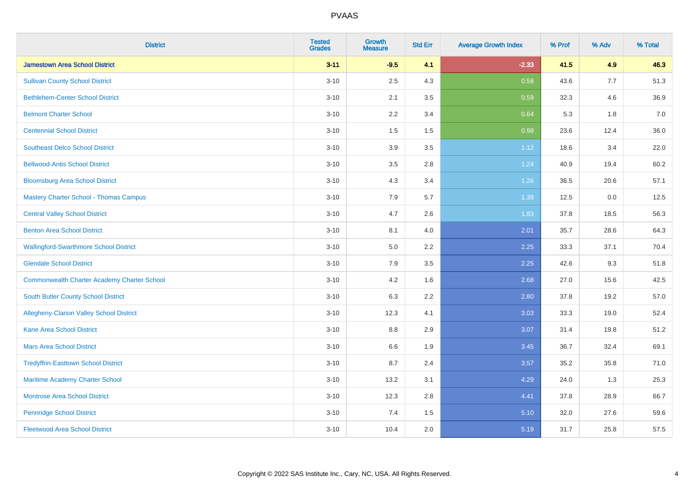| <b>District</b>                                    | <b>Tested</b><br><b>Grades</b> | <b>Growth</b><br><b>Measure</b> | <b>Std Err</b> | <b>Average Growth Index</b> | % Prof | % Adv | % Total |
|----------------------------------------------------|--------------------------------|---------------------------------|----------------|-----------------------------|--------|-------|---------|
| <b>Jamestown Area School District</b>              | $3 - 11$                       | $-9.5$                          | 4.1            | $-2.33$                     | 41.5   | 4.9   | 46.3    |
| <b>Sullivan County School District</b>             | $3 - 10$                       | 2.5                             | 4.3            | 0.58                        | 43.6   | 7.7   | 51.3    |
| <b>Bethlehem-Center School District</b>            | $3 - 10$                       | 2.1                             | 3.5            | 0.59                        | 32.3   | 4.6   | 36.9    |
| <b>Belmont Charter School</b>                      | $3 - 10$                       | 2.2                             | 3.4            | 0.64                        | 5.3    | 1.8   | 7.0     |
| <b>Centennial School District</b>                  | $3 - 10$                       | 1.5                             | 1.5            | 0.98                        | 23.6   | 12.4  | 36.0    |
| <b>Southeast Delco School District</b>             | $3 - 10$                       | 3.9                             | 3.5            | 1.12                        | 18.6   | 3.4   | 22.0    |
| <b>Bellwood-Antis School District</b>              | $3 - 10$                       | 3.5                             | 2.8            | 1.24                        | 40.9   | 19.4  | 60.2    |
| <b>Bloomsburg Area School District</b>             | $3 - 10$                       | 4.3                             | 3.4            | 1.26                        | 36.5   | 20.6  | 57.1    |
| <b>Mastery Charter School - Thomas Campus</b>      | $3 - 10$                       | 7.9                             | 5.7            | 1.39                        | 12.5   | 0.0   | 12.5    |
| <b>Central Valley School District</b>              | $3 - 10$                       | 4.7                             | 2.6            | 1.83                        | 37.8   | 18.5  | 56.3    |
| <b>Benton Area School District</b>                 | $3 - 10$                       | 8.1                             | 4.0            | 2.01                        | 35.7   | 28.6  | 64.3    |
| <b>Wallingford-Swarthmore School District</b>      | $3 - 10$                       | 5.0                             | 2.2            | 2.25                        | 33.3   | 37.1  | 70.4    |
| <b>Glendale School District</b>                    | $3 - 10$                       | 7.9                             | 3.5            | 2.25                        | 42.6   | 9.3   | 51.8    |
| <b>Commonwealth Charter Academy Charter School</b> | $3 - 10$                       | 4.2                             | 1.6            | 2.68                        | 27.0   | 15.6  | 42.5    |
| South Butler County School District                | $3 - 10$                       | 6.3                             | 2.2            | 2.80                        | 37.8   | 19.2  | 57.0    |
| Allegheny-Clarion Valley School District           | $3 - 10$                       | 12.3                            | 4.1            | 3.03                        | 33.3   | 19.0  | 52.4    |
| <b>Kane Area School District</b>                   | $3 - 10$                       | 8.8                             | 2.9            | 3.07                        | 31.4   | 19.8  | 51.2    |
| <b>Mars Area School District</b>                   | $3 - 10$                       | 6.6                             | 1.9            | 3.45                        | 36.7   | 32.4  | 69.1    |
| <b>Tredyffrin-Easttown School District</b>         | $3 - 10$                       | 8.7                             | 2.4            | 3.57                        | 35.2   | 35.8  | 71.0    |
| Maritime Academy Charter School                    | $3 - 10$                       | 13.2                            | 3.1            | 4.29                        | 24.0   | 1.3   | 25.3    |
| <b>Montrose Area School District</b>               | $3 - 10$                       | 12.3                            | 2.8            | 4.41                        | 37.8   | 28.9  | 66.7    |
| <b>Pennridge School District</b>                   | $3 - 10$                       | 7.4                             | 1.5            | 5.10                        | 32.0   | 27.6  | 59.6    |
| <b>Fleetwood Area School District</b>              | $3 - 10$                       | 10.4                            | 2.0            | 5.19                        | 31.7   | 25.8  | 57.5    |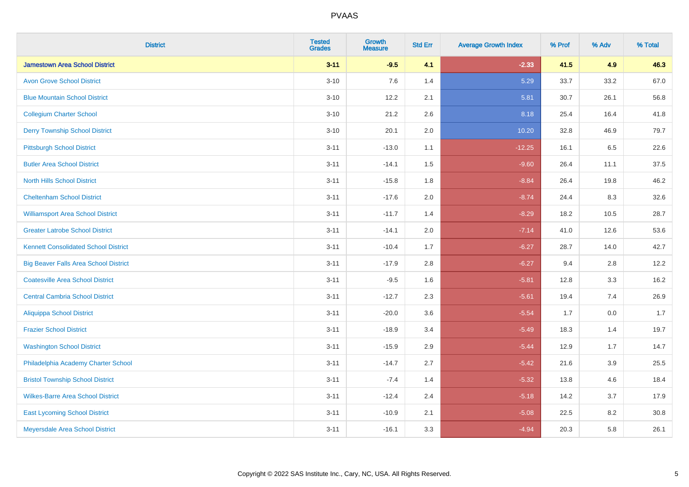| <b>District</b>                              | <b>Tested</b><br><b>Grades</b> | Growth<br><b>Measure</b> | <b>Std Err</b> | <b>Average Growth Index</b> | % Prof | % Adv | % Total |
|----------------------------------------------|--------------------------------|--------------------------|----------------|-----------------------------|--------|-------|---------|
| <b>Jamestown Area School District</b>        | $3 - 11$                       | $-9.5$                   | 4.1            | $-2.33$                     | 41.5   | 4.9   | 46.3    |
| <b>Avon Grove School District</b>            | $3 - 10$                       | 7.6                      | 1.4            | 5.29                        | 33.7   | 33.2  | 67.0    |
| <b>Blue Mountain School District</b>         | $3 - 10$                       | 12.2                     | 2.1            | 5.81                        | 30.7   | 26.1  | 56.8    |
| <b>Collegium Charter School</b>              | $3 - 10$                       | 21.2                     | 2.6            | 8.18                        | 25.4   | 16.4  | 41.8    |
| <b>Derry Township School District</b>        | $3 - 10$                       | 20.1                     | 2.0            | 10.20                       | 32.8   | 46.9  | 79.7    |
| <b>Pittsburgh School District</b>            | $3 - 11$                       | $-13.0$                  | 1.1            | $-12.25$                    | 16.1   | 6.5   | 22.6    |
| <b>Butler Area School District</b>           | $3 - 11$                       | $-14.1$                  | 1.5            | $-9.60$                     | 26.4   | 11.1  | 37.5    |
| <b>North Hills School District</b>           | $3 - 11$                       | $-15.8$                  | 1.8            | $-8.84$                     | 26.4   | 19.8  | 46.2    |
| <b>Cheltenham School District</b>            | $3 - 11$                       | $-17.6$                  | 2.0            | $-8.74$                     | 24.4   | 8.3   | 32.6    |
| <b>Williamsport Area School District</b>     | $3 - 11$                       | $-11.7$                  | 1.4            | $-8.29$                     | 18.2   | 10.5  | 28.7    |
| <b>Greater Latrobe School District</b>       | $3 - 11$                       | $-14.1$                  | 2.0            | $-7.14$                     | 41.0   | 12.6  | 53.6    |
| <b>Kennett Consolidated School District</b>  | $3 - 11$                       | $-10.4$                  | 1.7            | $-6.27$                     | 28.7   | 14.0  | 42.7    |
| <b>Big Beaver Falls Area School District</b> | $3 - 11$                       | $-17.9$                  | 2.8            | $-6.27$                     | 9.4    | 2.8   | 12.2    |
| <b>Coatesville Area School District</b>      | $3 - 11$                       | $-9.5$                   | 1.6            | $-5.81$                     | 12.8   | 3.3   | 16.2    |
| <b>Central Cambria School District</b>       | $3 - 11$                       | $-12.7$                  | 2.3            | $-5.61$                     | 19.4   | 7.4   | 26.9    |
| <b>Aliquippa School District</b>             | $3 - 11$                       | $-20.0$                  | 3.6            | $-5.54$                     | 1.7    | 0.0   | 1.7     |
| <b>Frazier School District</b>               | $3 - 11$                       | $-18.9$                  | 3.4            | $-5.49$                     | 18.3   | 1.4   | 19.7    |
| <b>Washington School District</b>            | $3 - 11$                       | $-15.9$                  | 2.9            | $-5.44$                     | 12.9   | 1.7   | 14.7    |
| Philadelphia Academy Charter School          | $3 - 11$                       | $-14.7$                  | 2.7            | $-5.42$                     | 21.6   | 3.9   | 25.5    |
| <b>Bristol Township School District</b>      | $3 - 11$                       | $-7.4$                   | 1.4            | $-5.32$                     | 13.8   | 4.6   | 18.4    |
| <b>Wilkes-Barre Area School District</b>     | $3 - 11$                       | $-12.4$                  | 2.4            | $-5.18$                     | 14.2   | 3.7   | 17.9    |
| <b>East Lycoming School District</b>         | $3 - 11$                       | $-10.9$                  | 2.1            | $-5.08$                     | 22.5   | 8.2   | 30.8    |
| Meyersdale Area School District              | $3 - 11$                       | $-16.1$                  | 3.3            | $-4.94$                     | 20.3   | 5.8   | 26.1    |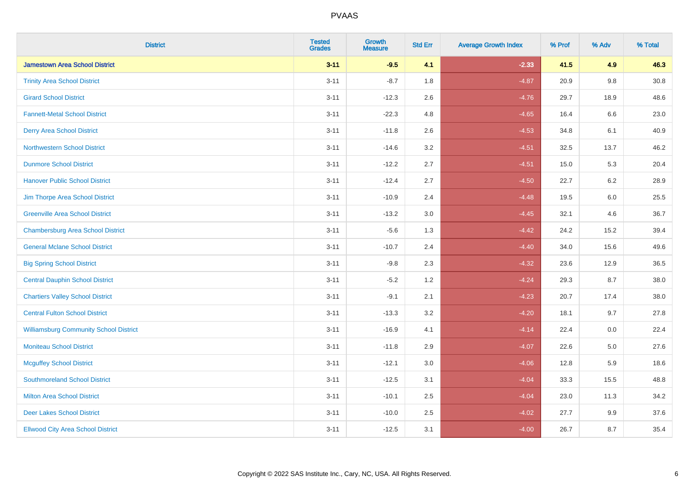| <b>District</b>                               | <b>Tested</b><br><b>Grades</b> | Growth<br><b>Measure</b> | <b>Std Err</b> | <b>Average Growth Index</b> | % Prof | % Adv   | % Total |
|-----------------------------------------------|--------------------------------|--------------------------|----------------|-----------------------------|--------|---------|---------|
| <b>Jamestown Area School District</b>         | $3 - 11$                       | $-9.5$                   | 4.1            | $-2.33$                     | 41.5   | 4.9     | 46.3    |
| <b>Trinity Area School District</b>           | $3 - 11$                       | $-8.7$                   | 1.8            | $-4.87$                     | 20.9   | 9.8     | 30.8    |
| <b>Girard School District</b>                 | $3 - 11$                       | $-12.3$                  | 2.6            | $-4.76$                     | 29.7   | 18.9    | 48.6    |
| <b>Fannett-Metal School District</b>          | $3 - 11$                       | $-22.3$                  | 4.8            | $-4.65$                     | 16.4   | $6.6\,$ | 23.0    |
| <b>Derry Area School District</b>             | $3 - 11$                       | $-11.8$                  | 2.6            | $-4.53$                     | 34.8   | 6.1     | 40.9    |
| <b>Northwestern School District</b>           | $3 - 11$                       | $-14.6$                  | 3.2            | $-4.51$                     | 32.5   | 13.7    | 46.2    |
| <b>Dunmore School District</b>                | $3 - 11$                       | $-12.2$                  | 2.7            | $-4.51$                     | 15.0   | 5.3     | 20.4    |
| <b>Hanover Public School District</b>         | $3 - 11$                       | $-12.4$                  | 2.7            | $-4.50$                     | 22.7   | 6.2     | 28.9    |
| Jim Thorpe Area School District               | $3 - 11$                       | $-10.9$                  | 2.4            | $-4.48$                     | 19.5   | 6.0     | 25.5    |
| <b>Greenville Area School District</b>        | $3 - 11$                       | $-13.2$                  | 3.0            | $-4.45$                     | 32.1   | 4.6     | 36.7    |
| <b>Chambersburg Area School District</b>      | $3 - 11$                       | $-5.6$                   | 1.3            | $-4.42$                     | 24.2   | 15.2    | 39.4    |
| <b>General Mclane School District</b>         | $3 - 11$                       | $-10.7$                  | 2.4            | $-4.40$                     | 34.0   | 15.6    | 49.6    |
| <b>Big Spring School District</b>             | $3 - 11$                       | $-9.8$                   | 2.3            | $-4.32$                     | 23.6   | 12.9    | 36.5    |
| <b>Central Dauphin School District</b>        | $3 - 11$                       | $-5.2$                   | 1.2            | $-4.24$                     | 29.3   | 8.7     | 38.0    |
| <b>Chartiers Valley School District</b>       | $3 - 11$                       | $-9.1$                   | 2.1            | $-4.23$                     | 20.7   | 17.4    | 38.0    |
| <b>Central Fulton School District</b>         | $3 - 11$                       | $-13.3$                  | 3.2            | $-4.20$                     | 18.1   | 9.7     | 27.8    |
| <b>Williamsburg Community School District</b> | $3 - 11$                       | $-16.9$                  | 4.1            | $-4.14$                     | 22.4   | 0.0     | 22.4    |
| <b>Moniteau School District</b>               | $3 - 11$                       | $-11.8$                  | 2.9            | $-4.07$                     | 22.6   | 5.0     | 27.6    |
| <b>Mcguffey School District</b>               | $3 - 11$                       | $-12.1$                  | 3.0            | $-4.06$                     | 12.8   | 5.9     | 18.6    |
| <b>Southmoreland School District</b>          | $3 - 11$                       | $-12.5$                  | 3.1            | $-4.04$                     | 33.3   | 15.5    | 48.8    |
| <b>Milton Area School District</b>            | $3 - 11$                       | $-10.1$                  | 2.5            | $-4.04$                     | 23.0   | 11.3    | 34.2    |
| <b>Deer Lakes School District</b>             | $3 - 11$                       | $-10.0$                  | 2.5            | $-4.02$                     | 27.7   | 9.9     | 37.6    |
| <b>Ellwood City Area School District</b>      | $3 - 11$                       | $-12.5$                  | 3.1            | $-4.00$                     | 26.7   | 8.7     | 35.4    |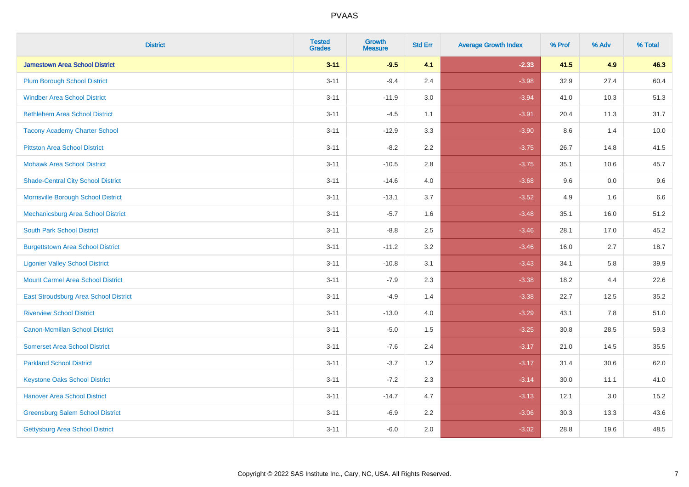| <b>District</b>                           | <b>Tested</b><br><b>Grades</b> | <b>Growth</b><br><b>Measure</b> | <b>Std Err</b> | <b>Average Growth Index</b> | % Prof | % Adv | % Total |
|-------------------------------------------|--------------------------------|---------------------------------|----------------|-----------------------------|--------|-------|---------|
| <b>Jamestown Area School District</b>     | $3 - 11$                       | $-9.5$                          | 4.1            | $-2.33$                     | 41.5   | 4.9   | 46.3    |
| <b>Plum Borough School District</b>       | $3 - 11$                       | $-9.4$                          | 2.4            | $-3.98$                     | 32.9   | 27.4  | 60.4    |
| <b>Windber Area School District</b>       | $3 - 11$                       | $-11.9$                         | 3.0            | $-3.94$                     | 41.0   | 10.3  | 51.3    |
| <b>Bethlehem Area School District</b>     | $3 - 11$                       | $-4.5$                          | 1.1            | $-3.91$                     | 20.4   | 11.3  | 31.7    |
| <b>Tacony Academy Charter School</b>      | $3 - 11$                       | $-12.9$                         | 3.3            | $-3.90$                     | 8.6    | 1.4   | 10.0    |
| <b>Pittston Area School District</b>      | $3 - 11$                       | $-8.2$                          | 2.2            | $-3.75$                     | 26.7   | 14.8  | 41.5    |
| <b>Mohawk Area School District</b>        | $3 - 11$                       | $-10.5$                         | 2.8            | $-3.75$                     | 35.1   | 10.6  | 45.7    |
| <b>Shade-Central City School District</b> | $3 - 11$                       | $-14.6$                         | 4.0            | $-3.68$                     | 9.6    | 0.0   | 9.6     |
| Morrisville Borough School District       | $3 - 11$                       | $-13.1$                         | 3.7            | $-3.52$                     | 4.9    | 1.6   | 6.6     |
| Mechanicsburg Area School District        | $3 - 11$                       | $-5.7$                          | 1.6            | $-3.48$                     | 35.1   | 16.0  | 51.2    |
| <b>South Park School District</b>         | $3 - 11$                       | $-8.8$                          | 2.5            | $-3.46$                     | 28.1   | 17.0  | 45.2    |
| <b>Burgettstown Area School District</b>  | $3 - 11$                       | $-11.2$                         | 3.2            | $-3.46$                     | 16.0   | 2.7   | 18.7    |
| <b>Ligonier Valley School District</b>    | $3 - 11$                       | $-10.8$                         | 3.1            | $-3.43$                     | 34.1   | 5.8   | 39.9    |
| <b>Mount Carmel Area School District</b>  | $3 - 11$                       | $-7.9$                          | 2.3            | $-3.38$                     | 18.2   | 4.4   | 22.6    |
| East Stroudsburg Area School District     | $3 - 11$                       | $-4.9$                          | 1.4            | $-3.38$                     | 22.7   | 12.5  | 35.2    |
| <b>Riverview School District</b>          | $3 - 11$                       | $-13.0$                         | 4.0            | $-3.29$                     | 43.1   | 7.8   | 51.0    |
| <b>Canon-Mcmillan School District</b>     | $3 - 11$                       | $-5.0$                          | 1.5            | $-3.25$                     | 30.8   | 28.5  | 59.3    |
| <b>Somerset Area School District</b>      | $3 - 11$                       | $-7.6$                          | 2.4            | $-3.17$                     | 21.0   | 14.5  | 35.5    |
| <b>Parkland School District</b>           | $3 - 11$                       | $-3.7$                          | 1.2            | $-3.17$                     | 31.4   | 30.6  | 62.0    |
| <b>Keystone Oaks School District</b>      | $3 - 11$                       | $-7.2$                          | 2.3            | $-3.14$                     | 30.0   | 11.1  | 41.0    |
| <b>Hanover Area School District</b>       | $3 - 11$                       | $-14.7$                         | 4.7            | $-3.13$                     | 12.1   | 3.0   | 15.2    |
| <b>Greensburg Salem School District</b>   | $3 - 11$                       | $-6.9$                          | 2.2            | $-3.06$                     | 30.3   | 13.3  | 43.6    |
| <b>Gettysburg Area School District</b>    | $3 - 11$                       | $-6.0$                          | 2.0            | $-3.02$                     | 28.8   | 19.6  | 48.5    |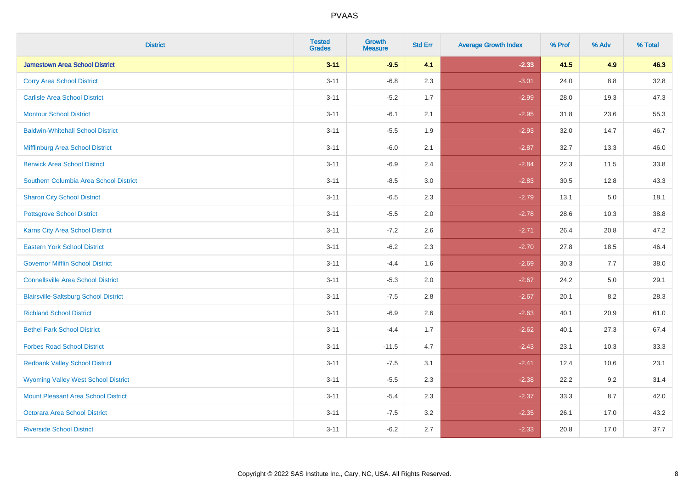| <b>District</b>                              | <b>Tested</b><br><b>Grades</b> | <b>Growth</b><br><b>Measure</b> | <b>Std Err</b> | <b>Average Growth Index</b> | % Prof | % Adv | % Total |
|----------------------------------------------|--------------------------------|---------------------------------|----------------|-----------------------------|--------|-------|---------|
| <b>Jamestown Area School District</b>        | $3 - 11$                       | $-9.5$                          | 4.1            | $-2.33$                     | 41.5   | 4.9   | 46.3    |
| <b>Corry Area School District</b>            | $3 - 11$                       | $-6.8$                          | 2.3            | $-3.01$                     | 24.0   | 8.8   | 32.8    |
| <b>Carlisle Area School District</b>         | $3 - 11$                       | $-5.2$                          | 1.7            | $-2.99$                     | 28.0   | 19.3  | 47.3    |
| <b>Montour School District</b>               | $3 - 11$                       | $-6.1$                          | 2.1            | $-2.95$                     | 31.8   | 23.6  | 55.3    |
| <b>Baldwin-Whitehall School District</b>     | $3 - 11$                       | $-5.5$                          | 1.9            | $-2.93$                     | 32.0   | 14.7  | 46.7    |
| Mifflinburg Area School District             | $3 - 11$                       | $-6.0$                          | 2.1            | $-2.87$                     | 32.7   | 13.3  | 46.0    |
| <b>Berwick Area School District</b>          | $3 - 11$                       | $-6.9$                          | 2.4            | $-2.84$                     | 22.3   | 11.5  | 33.8    |
| Southern Columbia Area School District       | $3 - 11$                       | $-8.5$                          | 3.0            | $-2.83$                     | 30.5   | 12.8  | 43.3    |
| <b>Sharon City School District</b>           | $3 - 11$                       | $-6.5$                          | 2.3            | $-2.79$                     | 13.1   | 5.0   | 18.1    |
| <b>Pottsgrove School District</b>            | $3 - 11$                       | $-5.5$                          | 2.0            | $-2.78$                     | 28.6   | 10.3  | 38.8    |
| <b>Karns City Area School District</b>       | $3 - 11$                       | $-7.2$                          | 2.6            | $-2.71$                     | 26.4   | 20.8  | 47.2    |
| <b>Eastern York School District</b>          | $3 - 11$                       | $-6.2$                          | 2.3            | $-2.70$                     | 27.8   | 18.5  | 46.4    |
| <b>Governor Mifflin School District</b>      | $3 - 11$                       | $-4.4$                          | 1.6            | $-2.69$                     | 30.3   | 7.7   | 38.0    |
| <b>Connellsville Area School District</b>    | $3 - 11$                       | $-5.3$                          | 2.0            | $-2.67$                     | 24.2   | 5.0   | 29.1    |
| <b>Blairsville-Saltsburg School District</b> | $3 - 11$                       | $-7.5$                          | 2.8            | $-2.67$                     | 20.1   | 8.2   | 28.3    |
| <b>Richland School District</b>              | $3 - 11$                       | $-6.9$                          | 2.6            | $-2.63$                     | 40.1   | 20.9  | 61.0    |
| <b>Bethel Park School District</b>           | $3 - 11$                       | $-4.4$                          | 1.7            | $-2.62$                     | 40.1   | 27.3  | 67.4    |
| <b>Forbes Road School District</b>           | $3 - 11$                       | $-11.5$                         | 4.7            | $-2.43$                     | 23.1   | 10.3  | 33.3    |
| <b>Redbank Valley School District</b>        | $3 - 11$                       | $-7.5$                          | 3.1            | $-2.41$                     | 12.4   | 10.6  | 23.1    |
| <b>Wyoming Valley West School District</b>   | $3 - 11$                       | $-5.5$                          | 2.3            | $-2.38$                     | 22.2   | 9.2   | 31.4    |
| <b>Mount Pleasant Area School District</b>   | $3 - 11$                       | $-5.4$                          | 2.3            | $-2.37$                     | 33.3   | 8.7   | 42.0    |
| <b>Octorara Area School District</b>         | $3 - 11$                       | $-7.5$                          | 3.2            | $-2.35$                     | 26.1   | 17.0  | 43.2    |
| <b>Riverside School District</b>             | $3 - 11$                       | $-6.2$                          | 2.7            | $-2.33$                     | 20.8   | 17.0  | 37.7    |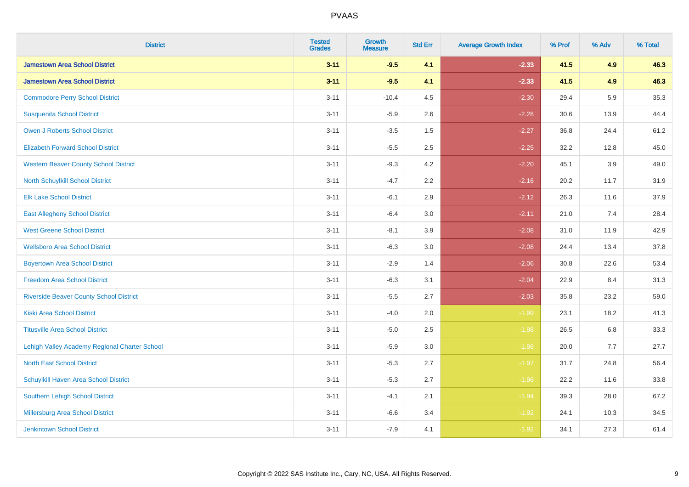| <b>District</b>                                | <b>Tested</b><br><b>Grades</b> | <b>Growth</b><br><b>Measure</b> | <b>Std Err</b> | <b>Average Growth Index</b> | % Prof | % Adv   | % Total |
|------------------------------------------------|--------------------------------|---------------------------------|----------------|-----------------------------|--------|---------|---------|
| <b>Jamestown Area School District</b>          | $3 - 11$                       | $-9.5$                          | 4.1            | $-2.33$                     | 41.5   | 4.9     | 46.3    |
| <b>Jamestown Area School District</b>          | $3 - 11$                       | $-9.5$                          | 4.1            | $-2.33$                     | 41.5   | 4.9     | 46.3    |
| <b>Commodore Perry School District</b>         | $3 - 11$                       | $-10.4$                         | 4.5            | $-2.30$                     | 29.4   | 5.9     | 35.3    |
| <b>Susquenita School District</b>              | $3 - 11$                       | $-5.9$                          | 2.6            | $-2.28$                     | 30.6   | 13.9    | 44.4    |
| <b>Owen J Roberts School District</b>          | $3 - 11$                       | $-3.5$                          | 1.5            | $-2.27$                     | 36.8   | 24.4    | 61.2    |
| <b>Elizabeth Forward School District</b>       | $3 - 11$                       | $-5.5$                          | 2.5            | $-2.25$                     | 32.2   | 12.8    | 45.0    |
| <b>Western Beaver County School District</b>   | $3 - 11$                       | $-9.3$                          | 4.2            | $-2.20$                     | 45.1   | 3.9     | 49.0    |
| North Schuylkill School District               | $3 - 11$                       | $-4.7$                          | 2.2            | $-2.16$                     | 20.2   | 11.7    | 31.9    |
| <b>Elk Lake School District</b>                | $3 - 11$                       | $-6.1$                          | 2.9            | $-2.12$                     | 26.3   | 11.6    | 37.9    |
| <b>East Allegheny School District</b>          | $3 - 11$                       | $-6.4$                          | 3.0            | $-2.11$                     | 21.0   | 7.4     | 28.4    |
| <b>West Greene School District</b>             | $3 - 11$                       | $-8.1$                          | 3.9            | $-2.08$                     | 31.0   | 11.9    | 42.9    |
| <b>Wellsboro Area School District</b>          | $3 - 11$                       | $-6.3$                          | 3.0            | $-2.08$                     | 24.4   | 13.4    | 37.8    |
| <b>Boyertown Area School District</b>          | $3 - 11$                       | $-2.9$                          | 1.4            | $-2.06$                     | 30.8   | 22.6    | 53.4    |
| <b>Freedom Area School District</b>            | $3 - 11$                       | $-6.3$                          | 3.1            | $-2.04$                     | 22.9   | 8.4     | 31.3    |
| <b>Riverside Beaver County School District</b> | $3 - 11$                       | $-5.5$                          | 2.7            | $-2.03$                     | 35.8   | 23.2    | 59.0    |
| <b>Kiski Area School District</b>              | $3 - 11$                       | $-4.0$                          | 2.0            | $-1.99$                     | 23.1   | 18.2    | 41.3    |
| <b>Titusville Area School District</b>         | $3 - 11$                       | $-5.0$                          | 2.5            | $-1.98$                     | 26.5   | $6.8\,$ | 33.3    |
| Lehigh Valley Academy Regional Charter School  | $3 - 11$                       | $-5.9$                          | 3.0            | $-1.98$                     | 20.0   | 7.7     | 27.7    |
| <b>North East School District</b>              | $3 - 11$                       | $-5.3$                          | 2.7            | $-1.97$                     | 31.7   | 24.8    | 56.4    |
| Schuylkill Haven Area School District          | $3 - 11$                       | $-5.3$                          | 2.7            | $-1.96$                     | 22.2   | 11.6    | 33.8    |
| Southern Lehigh School District                | $3 - 11$                       | $-4.1$                          | 2.1            | $-1.94$                     | 39.3   | 28.0    | 67.2    |
| Millersburg Area School District               | $3 - 11$                       | $-6.6$                          | 3.4            | $-1.92$                     | 24.1   | 10.3    | 34.5    |
| <b>Jenkintown School District</b>              | $3 - 11$                       | $-7.9$                          | 4.1            | $-1.92$                     | 34.1   | 27.3    | 61.4    |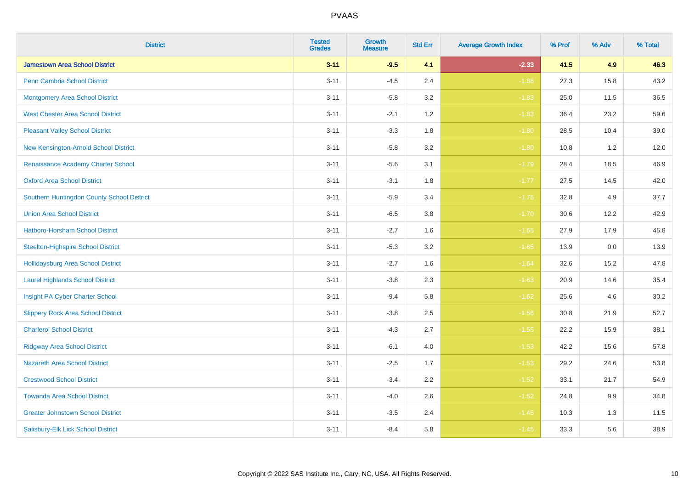| <b>District</b>                            | <b>Tested</b><br><b>Grades</b> | <b>Growth</b><br><b>Measure</b> | <b>Std Err</b> | <b>Average Growth Index</b> | % Prof | % Adv | % Total |
|--------------------------------------------|--------------------------------|---------------------------------|----------------|-----------------------------|--------|-------|---------|
| <b>Jamestown Area School District</b>      | $3 - 11$                       | $-9.5$                          | 4.1            | $-2.33$                     | 41.5   | 4.9   | 46.3    |
| <b>Penn Cambria School District</b>        | $3 - 11$                       | $-4.5$                          | 2.4            | $-1.86$                     | 27.3   | 15.8  | 43.2    |
| <b>Montgomery Area School District</b>     | $3 - 11$                       | $-5.8$                          | 3.2            | $-1.83$                     | 25.0   | 11.5  | 36.5    |
| <b>West Chester Area School District</b>   | $3 - 11$                       | $-2.1$                          | 1.2            | $-1.83$                     | 36.4   | 23.2  | 59.6    |
| <b>Pleasant Valley School District</b>     | $3 - 11$                       | $-3.3$                          | 1.8            | $-1.80$                     | 28.5   | 10.4  | 39.0    |
| New Kensington-Arnold School District      | $3 - 11$                       | $-5.8$                          | 3.2            | $-1.80$                     | 10.8   | 1.2   | 12.0    |
| Renaissance Academy Charter School         | $3 - 11$                       | $-5.6$                          | 3.1            | $-1.79$                     | 28.4   | 18.5  | 46.9    |
| <b>Oxford Area School District</b>         | $3 - 11$                       | $-3.1$                          | 1.8            | $-1.77$                     | 27.5   | 14.5  | 42.0    |
| Southern Huntingdon County School District | $3 - 11$                       | $-5.9$                          | 3.4            | $-1.76$                     | 32.8   | 4.9   | 37.7    |
| <b>Union Area School District</b>          | $3 - 11$                       | $-6.5$                          | 3.8            | $-1.70$                     | 30.6   | 12.2  | 42.9    |
| Hatboro-Horsham School District            | $3 - 11$                       | $-2.7$                          | 1.6            | $-1.65$                     | 27.9   | 17.9  | 45.8    |
| <b>Steelton-Highspire School District</b>  | $3 - 11$                       | $-5.3$                          | 3.2            | $-1.65$                     | 13.9   | 0.0   | 13.9    |
| <b>Hollidaysburg Area School District</b>  | $3 - 11$                       | $-2.7$                          | 1.6            | $-1.64$                     | 32.6   | 15.2  | 47.8    |
| <b>Laurel Highlands School District</b>    | $3 - 11$                       | $-3.8$                          | 2.3            | $-1.63$                     | 20.9   | 14.6  | 35.4    |
| Insight PA Cyber Charter School            | $3 - 11$                       | $-9.4$                          | 5.8            | $-1.62$                     | 25.6   | 4.6   | 30.2    |
| <b>Slippery Rock Area School District</b>  | $3 - 11$                       | $-3.8$                          | 2.5            | $-1.56$                     | 30.8   | 21.9  | 52.7    |
| <b>Charleroi School District</b>           | $3 - 11$                       | $-4.3$                          | 2.7            | $-1.55$                     | 22.2   | 15.9  | 38.1    |
| <b>Ridgway Area School District</b>        | $3 - 11$                       | $-6.1$                          | 4.0            | $-1.53$                     | 42.2   | 15.6  | 57.8    |
| <b>Nazareth Area School District</b>       | $3 - 11$                       | $-2.5$                          | 1.7            | $-1.53$                     | 29.2   | 24.6  | 53.8    |
| <b>Crestwood School District</b>           | $3 - 11$                       | $-3.4$                          | 2.2            | $-1.52$                     | 33.1   | 21.7  | 54.9    |
| <b>Towanda Area School District</b>        | $3 - 11$                       | $-4.0$                          | 2.6            | $-1.52$                     | 24.8   | 9.9   | 34.8    |
| <b>Greater Johnstown School District</b>   | $3 - 11$                       | $-3.5$                          | 2.4            | $-1.45$                     | 10.3   | 1.3   | 11.5    |
| Salisbury-Elk Lick School District         | $3 - 11$                       | $-8.4$                          | 5.8            | $-1.45$                     | 33.3   | 5.6   | 38.9    |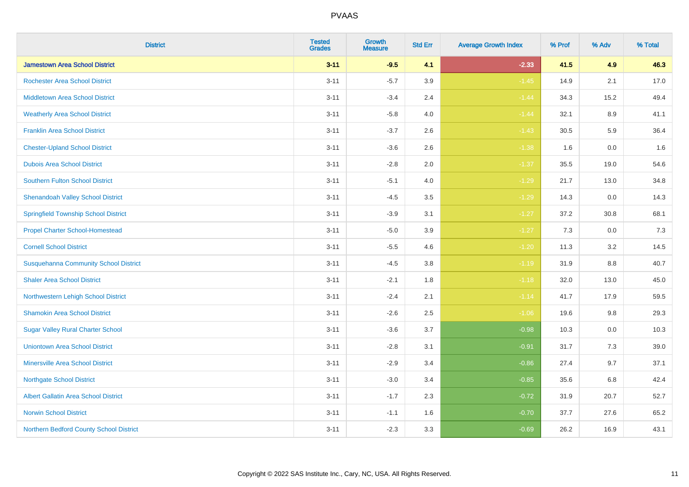| <b>District</b>                              | <b>Tested</b><br><b>Grades</b> | <b>Growth</b><br><b>Measure</b> | <b>Std Err</b> | <b>Average Growth Index</b> | % Prof | % Adv   | % Total |
|----------------------------------------------|--------------------------------|---------------------------------|----------------|-----------------------------|--------|---------|---------|
| <b>Jamestown Area School District</b>        | $3 - 11$                       | $-9.5$                          | 4.1            | $-2.33$                     | 41.5   | 4.9     | 46.3    |
| <b>Rochester Area School District</b>        | $3 - 11$                       | $-5.7$                          | 3.9            | $-1.45$                     | 14.9   | 2.1     | 17.0    |
| <b>Middletown Area School District</b>       | $3 - 11$                       | $-3.4$                          | 2.4            | $-1.44$                     | 34.3   | 15.2    | 49.4    |
| <b>Weatherly Area School District</b>        | $3 - 11$                       | $-5.8$                          | 4.0            | $-1.44$                     | 32.1   | 8.9     | 41.1    |
| <b>Franklin Area School District</b>         | $3 - 11$                       | $-3.7$                          | 2.6            | $-1.43$                     | 30.5   | 5.9     | 36.4    |
| <b>Chester-Upland School District</b>        | $3 - 11$                       | $-3.6$                          | 2.6            | $-1.38$                     | 1.6    | 0.0     | 1.6     |
| <b>Dubois Area School District</b>           | $3 - 11$                       | $-2.8$                          | 2.0            | $-1.37$                     | 35.5   | 19.0    | 54.6    |
| <b>Southern Fulton School District</b>       | $3 - 11$                       | $-5.1$                          | 4.0            | $-1.29$                     | 21.7   | 13.0    | 34.8    |
| <b>Shenandoah Valley School District</b>     | $3 - 11$                       | $-4.5$                          | 3.5            | $-1.29$                     | 14.3   | 0.0     | 14.3    |
| <b>Springfield Township School District</b>  | $3 - 11$                       | $-3.9$                          | 3.1            | $-1.27$                     | 37.2   | 30.8    | 68.1    |
| <b>Propel Charter School-Homestead</b>       | $3 - 11$                       | $-5.0$                          | 3.9            | $-1.27$                     | 7.3    | 0.0     | 7.3     |
| <b>Cornell School District</b>               | $3 - 11$                       | $-5.5$                          | 4.6            | $-1.20$                     | 11.3   | 3.2     | 14.5    |
| <b>Susquehanna Community School District</b> | $3 - 11$                       | $-4.5$                          | $3.8\,$        | $-1.19$                     | 31.9   | $8.8\,$ | 40.7    |
| <b>Shaler Area School District</b>           | $3 - 11$                       | $-2.1$                          | 1.8            | $-1.18$                     | 32.0   | 13.0    | 45.0    |
| Northwestern Lehigh School District          | $3 - 11$                       | $-2.4$                          | 2.1            | $-1.14$                     | 41.7   | 17.9    | 59.5    |
| <b>Shamokin Area School District</b>         | $3 - 11$                       | $-2.6$                          | 2.5            | $-1.06$                     | 19.6   | $9.8\,$ | 29.3    |
| <b>Sugar Valley Rural Charter School</b>     | $3 - 11$                       | $-3.6$                          | 3.7            | $-0.98$                     | 10.3   | 0.0     | 10.3    |
| <b>Uniontown Area School District</b>        | $3 - 11$                       | $-2.8$                          | 3.1            | $-0.91$                     | 31.7   | 7.3     | 39.0    |
| <b>Minersville Area School District</b>      | $3 - 11$                       | $-2.9$                          | 3.4            | $-0.86$                     | 27.4   | 9.7     | 37.1    |
| <b>Northgate School District</b>             | $3 - 11$                       | $-3.0$                          | 3.4            | $-0.85$                     | 35.6   | 6.8     | 42.4    |
| Albert Gallatin Area School District         | $3 - 11$                       | $-1.7$                          | 2.3            | $-0.72$                     | 31.9   | 20.7    | 52.7    |
| <b>Norwin School District</b>                | $3 - 11$                       | $-1.1$                          | 1.6            | $-0.70$                     | 37.7   | 27.6    | 65.2    |
| Northern Bedford County School District      | $3 - 11$                       | $-2.3$                          | 3.3            | $-0.69$                     | 26.2   | 16.9    | 43.1    |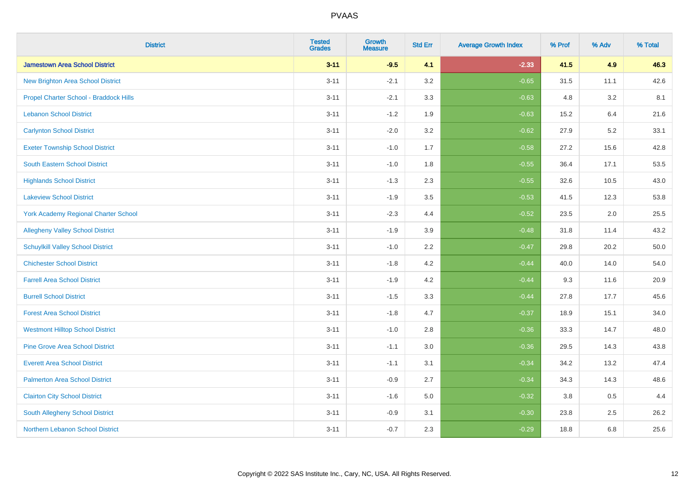| <b>District</b>                             | <b>Tested</b><br><b>Grades</b> | <b>Growth</b><br><b>Measure</b> | <b>Std Err</b> | <b>Average Growth Index</b> | % Prof | % Adv | % Total |
|---------------------------------------------|--------------------------------|---------------------------------|----------------|-----------------------------|--------|-------|---------|
| <b>Jamestown Area School District</b>       | $3 - 11$                       | $-9.5$                          | 4.1            | $-2.33$                     | 41.5   | 4.9   | 46.3    |
| <b>New Brighton Area School District</b>    | $3 - 11$                       | $-2.1$                          | 3.2            | $-0.65$                     | 31.5   | 11.1  | 42.6    |
| Propel Charter School - Braddock Hills      | $3 - 11$                       | $-2.1$                          | 3.3            | $-0.63$                     | 4.8    | 3.2   | 8.1     |
| <b>Lebanon School District</b>              | $3 - 11$                       | $-1.2$                          | 1.9            | $-0.63$                     | 15.2   | 6.4   | 21.6    |
| <b>Carlynton School District</b>            | $3 - 11$                       | $-2.0$                          | 3.2            | $-0.62$                     | 27.9   | 5.2   | 33.1    |
| <b>Exeter Township School District</b>      | $3 - 11$                       | $-1.0$                          | 1.7            | $-0.58$                     | 27.2   | 15.6  | 42.8    |
| South Eastern School District               | $3 - 11$                       | $-1.0$                          | 1.8            | $-0.55$                     | 36.4   | 17.1  | 53.5    |
| <b>Highlands School District</b>            | $3 - 11$                       | $-1.3$                          | 2.3            | $-0.55$                     | 32.6   | 10.5  | 43.0    |
| <b>Lakeview School District</b>             | $3 - 11$                       | $-1.9$                          | 3.5            | $-0.53$                     | 41.5   | 12.3  | 53.8    |
| <b>York Academy Regional Charter School</b> | $3 - 11$                       | $-2.3$                          | 4.4            | $-0.52$                     | 23.5   | 2.0   | 25.5    |
| <b>Allegheny Valley School District</b>     | $3 - 11$                       | $-1.9$                          | 3.9            | $-0.48$                     | 31.8   | 11.4  | 43.2    |
| <b>Schuylkill Valley School District</b>    | $3 - 11$                       | $-1.0$                          | 2.2            | $-0.47$                     | 29.8   | 20.2  | 50.0    |
| <b>Chichester School District</b>           | $3 - 11$                       | $-1.8$                          | 4.2            | $-0.44$                     | 40.0   | 14.0  | 54.0    |
| <b>Farrell Area School District</b>         | $3 - 11$                       | $-1.9$                          | 4.2            | $-0.44$                     | 9.3    | 11.6  | 20.9    |
| <b>Burrell School District</b>              | $3 - 11$                       | $-1.5$                          | 3.3            | $-0.44$                     | 27.8   | 17.7  | 45.6    |
| <b>Forest Area School District</b>          | $3 - 11$                       | $-1.8$                          | 4.7            | $-0.37$                     | 18.9   | 15.1  | 34.0    |
| <b>Westmont Hilltop School District</b>     | $3 - 11$                       | $-1.0$                          | 2.8            | $-0.36$                     | 33.3   | 14.7  | 48.0    |
| <b>Pine Grove Area School District</b>      | $3 - 11$                       | $-1.1$                          | 3.0            | $-0.36$                     | 29.5   | 14.3  | 43.8    |
| <b>Everett Area School District</b>         | $3 - 11$                       | $-1.1$                          | 3.1            | $-0.34$                     | 34.2   | 13.2  | 47.4    |
| <b>Palmerton Area School District</b>       | $3 - 11$                       | $-0.9$                          | 2.7            | $-0.34$                     | 34.3   | 14.3  | 48.6    |
| <b>Clairton City School District</b>        | $3 - 11$                       | $-1.6$                          | 5.0            | $-0.32$                     | 3.8    | 0.5   | 4.4     |
| <b>South Allegheny School District</b>      | $3 - 11$                       | $-0.9$                          | 3.1            | $-0.30$                     | 23.8   | 2.5   | 26.2    |
| Northern Lebanon School District            | $3 - 11$                       | $-0.7$                          | 2.3            | $-0.29$                     | 18.8   | 6.8   | 25.6    |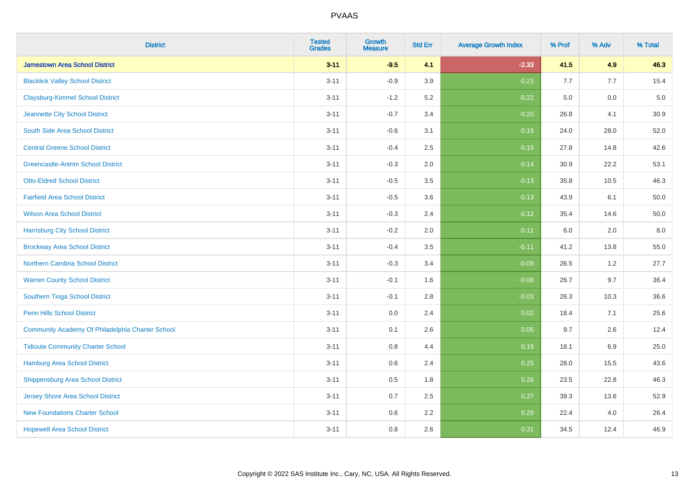| <b>District</b>                                  | <b>Tested</b><br><b>Grades</b> | <b>Growth</b><br><b>Measure</b> | <b>Std Err</b> | <b>Average Growth Index</b> | % Prof | % Adv | % Total  |
|--------------------------------------------------|--------------------------------|---------------------------------|----------------|-----------------------------|--------|-------|----------|
| <b>Jamestown Area School District</b>            | $3 - 11$                       | $-9.5$                          | 4.1            | $-2.33$                     | 41.5   | 4.9   | 46.3     |
| <b>Blacklick Valley School District</b>          | $3 - 11$                       | $-0.9$                          | 3.9            | $-0.23$                     | 7.7    | 7.7   | 15.4     |
| <b>Claysburg-Kimmel School District</b>          | $3 - 11$                       | $-1.2$                          | 5.2            | $-0.22$                     | 5.0    | 0.0   | $5.0\,$  |
| Jeannette City School District                   | $3 - 11$                       | $-0.7$                          | 3.4            | $-0.20$                     | 26.8   | 4.1   | 30.9     |
| South Side Area School District                  | $3 - 11$                       | $-0.6$                          | 3.1            | $-0.19$                     | 24.0   | 28.0  | 52.0     |
| <b>Central Greene School District</b>            | $3 - 11$                       | $-0.4$                          | 2.5            | $-0.15$                     | 27.8   | 14.8  | 42.6     |
| <b>Greencastle-Antrim School District</b>        | $3 - 11$                       | $-0.3$                          | 2.0            | $-0.14$                     | 30.9   | 22.2  | 53.1     |
| <b>Otto-Eldred School District</b>               | $3 - 11$                       | $-0.5$                          | 3.5            | $-0.13$                     | 35.8   | 10.5  | 46.3     |
| <b>Fairfield Area School District</b>            | $3 - 11$                       | $-0.5$                          | 3.6            | $-0.13$                     | 43.9   | 6.1   | 50.0     |
| <b>Wilson Area School District</b>               | $3 - 11$                       | $-0.3$                          | 2.4            | $-0.12$                     | 35.4   | 14.6  | $50.0\,$ |
| <b>Harrisburg City School District</b>           | $3 - 11$                       | $-0.2$                          | 2.0            | $-0.11$                     | 6.0    | 2.0   | 8.0      |
| <b>Brockway Area School District</b>             | $3 - 11$                       | $-0.4$                          | 3.5            | $-0.11$                     | 41.2   | 13.8  | 55.0     |
| Northern Cambria School District                 | $3 - 11$                       | $-0.3$                          | 3.4            | $-0.09$                     | 26.5   | $1.2$ | 27.7     |
| <b>Warren County School District</b>             | $3 - 11$                       | $-0.1$                          | 1.6            | $-0.06$                     | 26.7   | 9.7   | 36.4     |
| Southern Tioga School District                   | $3 - 11$                       | $-0.1$                          | 2.8            | $-0.03$                     | 26.3   | 10.3  | 36.6     |
| <b>Penn Hills School District</b>                | $3 - 11$                       | 0.0                             | 2.4            | 0.02                        | 18.4   | 7.1   | 25.6     |
| Community Academy Of Philadelphia Charter School | $3 - 11$                       | 0.1                             | 2.6            | 0.06                        | 9.7    | 2.6   | 12.4     |
| <b>Tidioute Community Charter School</b>         | $3 - 11$                       | 0.8                             | 4.4            | 0.19                        | 18.1   | 6.9   | 25.0     |
| <b>Hamburg Area School District</b>              | $3 - 11$                       | 0.6                             | 2.4            | 0.25                        | 28.0   | 15.5  | 43.6     |
| <b>Shippensburg Area School District</b>         | $3 - 11$                       | 0.5                             | 1.8            | 0.26                        | 23.5   | 22.8  | 46.3     |
| <b>Jersey Shore Area School District</b>         | $3 - 11$                       | 0.7                             | 2.5            | 0.27                        | 39.3   | 13.6  | 52.9     |
| <b>New Foundations Charter School</b>            | $3 - 11$                       | 0.6                             | 2.2            | 0.29                        | 22.4   | 4.0   | 26.4     |
| <b>Hopewell Area School District</b>             | $3 - 11$                       | 0.8                             | 2.6            | 0.31                        | 34.5   | 12.4  | 46.9     |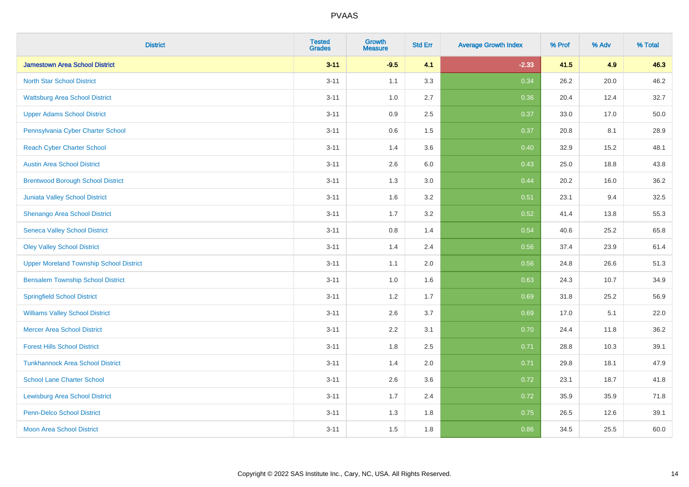| <b>District</b>                                | <b>Tested</b><br><b>Grades</b> | <b>Growth</b><br><b>Measure</b> | <b>Std Err</b> | <b>Average Growth Index</b> | % Prof | % Adv | % Total |
|------------------------------------------------|--------------------------------|---------------------------------|----------------|-----------------------------|--------|-------|---------|
| <b>Jamestown Area School District</b>          | $3 - 11$                       | $-9.5$                          | 4.1            | $-2.33$                     | 41.5   | 4.9   | 46.3    |
| <b>North Star School District</b>              | $3 - 11$                       | 1.1                             | 3.3            | 0.34                        | 26.2   | 20.0  | 46.2    |
| <b>Wattsburg Area School District</b>          | $3 - 11$                       | 1.0                             | 2.7            | 0.36                        | 20.4   | 12.4  | 32.7    |
| <b>Upper Adams School District</b>             | $3 - 11$                       | 0.9                             | 2.5            | 0.37                        | 33.0   | 17.0  | 50.0    |
| Pennsylvania Cyber Charter School              | $3 - 11$                       | 0.6                             | 1.5            | 0.37                        | 20.8   | 8.1   | 28.9    |
| <b>Reach Cyber Charter School</b>              | $3 - 11$                       | 1.4                             | 3.6            | 0.40                        | 32.9   | 15.2  | 48.1    |
| <b>Austin Area School District</b>             | $3 - 11$                       | 2.6                             | 6.0            | 0.43                        | 25.0   | 18.8  | 43.8    |
| <b>Brentwood Borough School District</b>       | $3 - 11$                       | 1.3                             | 3.0            | 0.44                        | 20.2   | 16.0  | 36.2    |
| Juniata Valley School District                 | $3 - 11$                       | 1.6                             | 3.2            | 0.51                        | 23.1   | 9.4   | 32.5    |
| Shenango Area School District                  | $3 - 11$                       | 1.7                             | 3.2            | 0.52                        | 41.4   | 13.8  | 55.3    |
| <b>Seneca Valley School District</b>           | $3 - 11$                       | 0.8                             | 1.4            | 0.54                        | 40.6   | 25.2  | 65.8    |
| <b>Oley Valley School District</b>             | $3 - 11$                       | 1.4                             | 2.4            | 0.56                        | 37.4   | 23.9  | 61.4    |
| <b>Upper Moreland Township School District</b> | $3 - 11$                       | 1.1                             | 2.0            | 0.56                        | 24.8   | 26.6  | 51.3    |
| <b>Bensalem Township School District</b>       | $3 - 11$                       | 1.0                             | 1.6            | 0.63                        | 24.3   | 10.7  | 34.9    |
| <b>Springfield School District</b>             | $3 - 11$                       | 1.2                             | 1.7            | 0.69                        | 31.8   | 25.2  | 56.9    |
| <b>Williams Valley School District</b>         | $3 - 11$                       | 2.6                             | 3.7            | 0.69                        | 17.0   | 5.1   | 22.0    |
| <b>Mercer Area School District</b>             | $3 - 11$                       | $2.2\,$                         | 3.1            | 0.70                        | 24.4   | 11.8  | 36.2    |
| <b>Forest Hills School District</b>            | $3 - 11$                       | 1.8                             | 2.5            | 0.71                        | 28.8   | 10.3  | 39.1    |
| <b>Tunkhannock Area School District</b>        | $3 - 11$                       | 1.4                             | 2.0            | 0.71                        | 29.8   | 18.1  | 47.9    |
| <b>School Lane Charter School</b>              | $3 - 11$                       | 2.6                             | 3.6            | 0.72                        | 23.1   | 18.7  | 41.8    |
| <b>Lewisburg Area School District</b>          | $3 - 11$                       | 1.7                             | 2.4            | 0.72                        | 35.9   | 35.9  | 71.8    |
| <b>Penn-Delco School District</b>              | $3 - 11$                       | 1.3                             | 1.8            | 0.75                        | 26.5   | 12.6  | 39.1    |
| <b>Moon Area School District</b>               | $3 - 11$                       | 1.5                             | 1.8            | 0.86                        | 34.5   | 25.5  | 60.0    |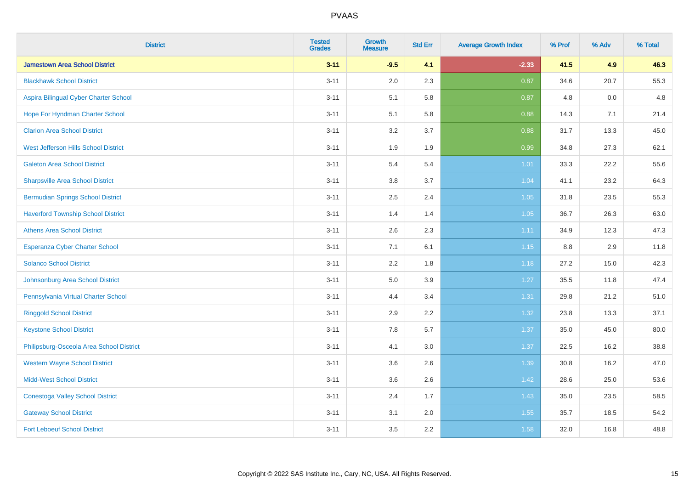| <b>District</b>                           | <b>Tested</b><br><b>Grades</b> | <b>Growth</b><br><b>Measure</b> | <b>Std Err</b> | <b>Average Growth Index</b> | % Prof | % Adv | % Total |
|-------------------------------------------|--------------------------------|---------------------------------|----------------|-----------------------------|--------|-------|---------|
| <b>Jamestown Area School District</b>     | $3 - 11$                       | $-9.5$                          | 4.1            | $-2.33$                     | 41.5   | 4.9   | 46.3    |
| <b>Blackhawk School District</b>          | $3 - 11$                       | 2.0                             | 2.3            | 0.87                        | 34.6   | 20.7  | 55.3    |
| Aspira Bilingual Cyber Charter School     | $3 - 11$                       | 5.1                             | 5.8            | 0.87                        | 4.8    | 0.0   | 4.8     |
| Hope For Hyndman Charter School           | $3 - 11$                       | 5.1                             | 5.8            | 0.88                        | 14.3   | 7.1   | 21.4    |
| <b>Clarion Area School District</b>       | $3 - 11$                       | 3.2                             | 3.7            | 0.88                        | 31.7   | 13.3  | 45.0    |
| West Jefferson Hills School District      | $3 - 11$                       | 1.9                             | 1.9            | 0.99                        | 34.8   | 27.3  | 62.1    |
| <b>Galeton Area School District</b>       | $3 - 11$                       | 5.4                             | 5.4            | 1.01                        | 33.3   | 22.2  | 55.6    |
| <b>Sharpsville Area School District</b>   | $3 - 11$                       | 3.8                             | 3.7            | 1.04                        | 41.1   | 23.2  | 64.3    |
| <b>Bermudian Springs School District</b>  | $3 - 11$                       | 2.5                             | 2.4            | 1.05                        | 31.8   | 23.5  | 55.3    |
| <b>Haverford Township School District</b> | $3 - 11$                       | 1.4                             | 1.4            | 1.05                        | 36.7   | 26.3  | 63.0    |
| <b>Athens Area School District</b>        | $3 - 11$                       | 2.6                             | 2.3            | 1.11                        | 34.9   | 12.3  | 47.3    |
| <b>Esperanza Cyber Charter School</b>     | $3 - 11$                       | 7.1                             | 6.1            | $1.15$                      | 8.8    | 2.9   | 11.8    |
| <b>Solanco School District</b>            | $3 - 11$                       | 2.2                             | 1.8            | 1.18                        | 27.2   | 15.0  | 42.3    |
| Johnsonburg Area School District          | $3 - 11$                       | $5.0\,$                         | 3.9            | 1.27                        | 35.5   | 11.8  | 47.4    |
| Pennsylvania Virtual Charter School       | $3 - 11$                       | 4.4                             | 3.4            | 1.31                        | 29.8   | 21.2  | 51.0    |
| <b>Ringgold School District</b>           | $3 - 11$                       | 2.9                             | 2.2            | 1.32                        | 23.8   | 13.3  | 37.1    |
| <b>Keystone School District</b>           | $3 - 11$                       | 7.8                             | 5.7            | 1.37                        | 35.0   | 45.0  | 80.0    |
| Philipsburg-Osceola Area School District  | $3 - 11$                       | 4.1                             | 3.0            | 1.37                        | 22.5   | 16.2  | 38.8    |
| <b>Western Wayne School District</b>      | $3 - 11$                       | 3.6                             | 2.6            | 1.39                        | 30.8   | 16.2  | 47.0    |
| <b>Midd-West School District</b>          | $3 - 11$                       | 3.6                             | 2.6            | 1.42                        | 28.6   | 25.0  | 53.6    |
| <b>Conestoga Valley School District</b>   | $3 - 11$                       | 2.4                             | 1.7            | 1.43                        | 35.0   | 23.5  | 58.5    |
| <b>Gateway School District</b>            | $3 - 11$                       | 3.1                             | 2.0            | 1.55                        | 35.7   | 18.5  | 54.2    |
| <b>Fort Leboeuf School District</b>       | $3 - 11$                       | 3.5                             | 2.2            | 1.58                        | 32.0   | 16.8  | 48.8    |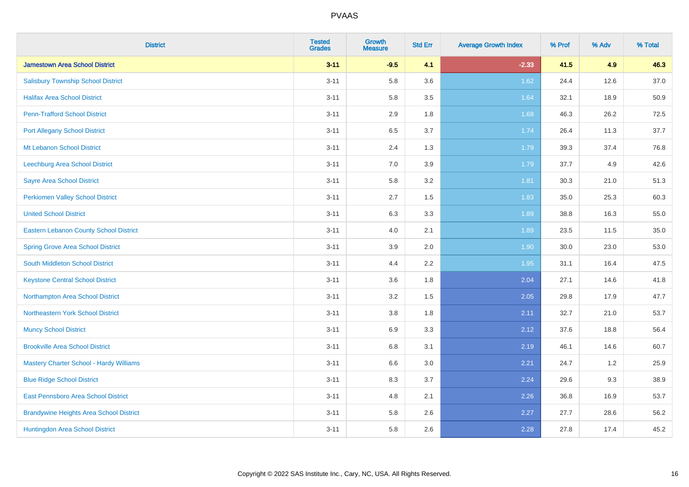| <b>District</b>                                | <b>Tested</b><br><b>Grades</b> | <b>Growth</b><br><b>Measure</b> | <b>Std Err</b> | <b>Average Growth Index</b> | % Prof | % Adv | % Total |
|------------------------------------------------|--------------------------------|---------------------------------|----------------|-----------------------------|--------|-------|---------|
| <b>Jamestown Area School District</b>          | $3 - 11$                       | $-9.5$                          | 4.1            | $-2.33$                     | 41.5   | 4.9   | 46.3    |
| <b>Salisbury Township School District</b>      | $3 - 11$                       | 5.8                             | 3.6            | 1.62                        | 24.4   | 12.6  | 37.0    |
| <b>Halifax Area School District</b>            | $3 - 11$                       | 5.8                             | 3.5            | 1.64                        | 32.1   | 18.9  | 50.9    |
| <b>Penn-Trafford School District</b>           | $3 - 11$                       | 2.9                             | 1.8            | 1.68                        | 46.3   | 26.2  | 72.5    |
| <b>Port Allegany School District</b>           | $3 - 11$                       | 6.5                             | 3.7            | 1.74                        | 26.4   | 11.3  | 37.7    |
| <b>Mt Lebanon School District</b>              | $3 - 11$                       | 2.4                             | 1.3            | 1.79                        | 39.3   | 37.4  | 76.8    |
| Leechburg Area School District                 | $3 - 11$                       | 7.0                             | 3.9            | 1.79                        | 37.7   | 4.9   | 42.6    |
| <b>Sayre Area School District</b>              | $3 - 11$                       | 5.8                             | 3.2            | 1.81                        | 30.3   | 21.0  | 51.3    |
| Perkiomen Valley School District               | $3 - 11$                       | 2.7                             | 1.5            | 1.83                        | 35.0   | 25.3  | 60.3    |
| <b>United School District</b>                  | $3 - 11$                       | 6.3                             | 3.3            | 1.89                        | 38.8   | 16.3  | 55.0    |
| Eastern Lebanon County School District         | $3 - 11$                       | 4.0                             | 2.1            | 1.89                        | 23.5   | 11.5  | 35.0    |
| <b>Spring Grove Area School District</b>       | $3 - 11$                       | 3.9                             | 2.0            | 1.90                        | 30.0   | 23.0  | 53.0    |
| South Middleton School District                | $3 - 11$                       | 4.4                             | 2.2            | 1.95                        | 31.1   | 16.4  | 47.5    |
| <b>Keystone Central School District</b>        | $3 - 11$                       | 3.6                             | 1.8            | 2.04                        | 27.1   | 14.6  | 41.8    |
| Northampton Area School District               | $3 - 11$                       | 3.2                             | 1.5            | 2.05                        | 29.8   | 17.9  | 47.7    |
| Northeastern York School District              | $3 - 11$                       | $3.8\,$                         | 1.8            | 2.11                        | 32.7   | 21.0  | 53.7    |
| <b>Muncy School District</b>                   | $3 - 11$                       | 6.9                             | 3.3            | 2.12                        | 37.6   | 18.8  | 56.4    |
| <b>Brookville Area School District</b>         | $3 - 11$                       | 6.8                             | 3.1            | 2.19                        | 46.1   | 14.6  | 60.7    |
| <b>Mastery Charter School - Hardy Williams</b> | $3 - 11$                       | 6.6                             | 3.0            | 2.21                        | 24.7   | 1.2   | 25.9    |
| <b>Blue Ridge School District</b>              | $3 - 11$                       | 8.3                             | 3.7            | 2.24                        | 29.6   | 9.3   | 38.9    |
| East Pennsboro Area School District            | $3 - 11$                       | 4.8                             | 2.1            | 2.26                        | 36.8   | 16.9  | 53.7    |
| <b>Brandywine Heights Area School District</b> | $3 - 11$                       | 5.8                             | 2.6            | 2.27                        | 27.7   | 28.6  | 56.2    |
| Huntingdon Area School District                | $3 - 11$                       | 5.8                             | 2.6            | 2.28                        | 27.8   | 17.4  | 45.2    |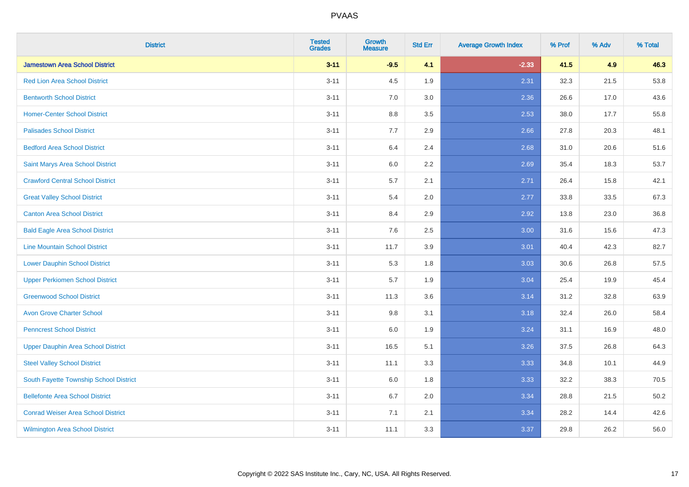| <b>District</b>                           | <b>Tested</b><br><b>Grades</b> | <b>Growth</b><br><b>Measure</b> | <b>Std Err</b> | <b>Average Growth Index</b> | % Prof | % Adv | % Total |
|-------------------------------------------|--------------------------------|---------------------------------|----------------|-----------------------------|--------|-------|---------|
| <b>Jamestown Area School District</b>     | $3 - 11$                       | $-9.5$                          | 4.1            | $-2.33$                     | 41.5   | 4.9   | 46.3    |
| <b>Red Lion Area School District</b>      | $3 - 11$                       | 4.5                             | 1.9            | 2.31                        | 32.3   | 21.5  | 53.8    |
| <b>Bentworth School District</b>          | $3 - 11$                       | 7.0                             | 3.0            | 2.36                        | 26.6   | 17.0  | 43.6    |
| <b>Homer-Center School District</b>       | $3 - 11$                       | 8.8                             | 3.5            | 2.53                        | 38.0   | 17.7  | 55.8    |
| <b>Palisades School District</b>          | $3 - 11$                       | 7.7                             | 2.9            | 2.66                        | 27.8   | 20.3  | 48.1    |
| <b>Bedford Area School District</b>       | $3 - 11$                       | 6.4                             | 2.4            | 2.68                        | 31.0   | 20.6  | 51.6    |
| Saint Marys Area School District          | $3 - 11$                       | 6.0                             | 2.2            | 2.69                        | 35.4   | 18.3  | 53.7    |
| <b>Crawford Central School District</b>   | $3 - 11$                       | 5.7                             | 2.1            | 2.71                        | 26.4   | 15.8  | 42.1    |
| <b>Great Valley School District</b>       | $3 - 11$                       | 5.4                             | 2.0            | 2.77                        | 33.8   | 33.5  | 67.3    |
| <b>Canton Area School District</b>        | $3 - 11$                       | 8.4                             | 2.9            | 2.92                        | 13.8   | 23.0  | 36.8    |
| <b>Bald Eagle Area School District</b>    | $3 - 11$                       | 7.6                             | 2.5            | 3.00                        | 31.6   | 15.6  | 47.3    |
| <b>Line Mountain School District</b>      | $3 - 11$                       | 11.7                            | 3.9            | 3.01                        | 40.4   | 42.3  | 82.7    |
| <b>Lower Dauphin School District</b>      | $3 - 11$                       | 5.3                             | 1.8            | 3.03                        | 30.6   | 26.8  | 57.5    |
| <b>Upper Perkiomen School District</b>    | $3 - 11$                       | 5.7                             | 1.9            | 3.04                        | 25.4   | 19.9  | 45.4    |
| <b>Greenwood School District</b>          | $3 - 11$                       | 11.3                            | 3.6            | 3.14                        | 31.2   | 32.8  | 63.9    |
| <b>Avon Grove Charter School</b>          | $3 - 11$                       | 9.8                             | 3.1            | 3.18                        | 32.4   | 26.0  | 58.4    |
| <b>Penncrest School District</b>          | $3 - 11$                       | 6.0                             | 1.9            | 3.24                        | 31.1   | 16.9  | 48.0    |
| <b>Upper Dauphin Area School District</b> | $3 - 11$                       | 16.5                            | 5.1            | 3.26                        | 37.5   | 26.8  | 64.3    |
| <b>Steel Valley School District</b>       | $3 - 11$                       | 11.1                            | 3.3            | 3.33                        | 34.8   | 10.1  | 44.9    |
| South Fayette Township School District    | $3 - 11$                       | 6.0                             | 1.8            | 3.33                        | 32.2   | 38.3  | 70.5    |
| <b>Bellefonte Area School District</b>    | $3 - 11$                       | 6.7                             | 2.0            | 3.34                        | 28.8   | 21.5  | 50.2    |
| <b>Conrad Weiser Area School District</b> | $3 - 11$                       | 7.1                             | 2.1            | 3.34                        | 28.2   | 14.4  | 42.6    |
| <b>Wilmington Area School District</b>    | $3 - 11$                       | 11.1                            | 3.3            | 3.37                        | 29.8   | 26.2  | 56.0    |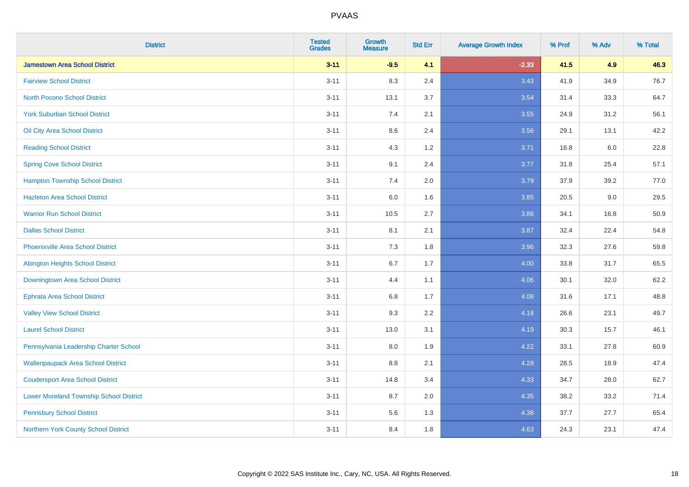| <b>District</b>                                | <b>Tested</b><br><b>Grades</b> | <b>Growth</b><br><b>Measure</b> | <b>Std Err</b> | <b>Average Growth Index</b> | % Prof | % Adv | % Total |
|------------------------------------------------|--------------------------------|---------------------------------|----------------|-----------------------------|--------|-------|---------|
| <b>Jamestown Area School District</b>          | $3 - 11$                       | $-9.5$                          | 4.1            | $-2.33$                     | 41.5   | 4.9   | 46.3    |
| <b>Fairview School District</b>                | $3 - 11$                       | 8.3                             | 2.4            | 3.43                        | 41.9   | 34.9  | 76.7    |
| <b>North Pocono School District</b>            | $3 - 11$                       | 13.1                            | 3.7            | 3.54                        | 31.4   | 33.3  | 64.7    |
| <b>York Suburban School District</b>           | $3 - 11$                       | 7.4                             | 2.1            | 3.55                        | 24.9   | 31.2  | 56.1    |
| Oil City Area School District                  | $3 - 11$                       | 8.6                             | 2.4            | 3.56                        | 29.1   | 13.1  | 42.2    |
| <b>Reading School District</b>                 | $3 - 11$                       | 4.3                             | 1.2            | 3.71                        | 16.8   | 6.0   | 22.8    |
| <b>Spring Cove School District</b>             | $3 - 11$                       | 9.1                             | 2.4            | 3.77                        | 31.8   | 25.4  | 57.1    |
| <b>Hampton Township School District</b>        | $3 - 11$                       | 7.4                             | 2.0            | 3.79                        | 37.9   | 39.2  | 77.0    |
| <b>Hazleton Area School District</b>           | $3 - 11$                       | 6.0                             | 1.6            | 3.85                        | 20.5   | 9.0   | 29.5    |
| <b>Warrior Run School District</b>             | $3 - 11$                       | 10.5                            | 2.7            | 3.86                        | 34.1   | 16.8  | 50.9    |
| <b>Dallas School District</b>                  | $3 - 11$                       | 8.1                             | 2.1            | 3.87                        | 32.4   | 22.4  | 54.8    |
| Phoenixville Area School District              | $3 - 11$                       | 7.3                             | 1.8            | 3.96                        | 32.3   | 27.6  | 59.8    |
| Abington Heights School District               | $3 - 11$                       | $6.7\,$                         | 1.7            | 4.00                        | 33.8   | 31.7  | 65.5    |
| Downingtown Area School District               | $3 - 11$                       | 4.4                             | 1.1            | 4.06                        | 30.1   | 32.0  | 62.2    |
| <b>Ephrata Area School District</b>            | $3 - 11$                       | 6.8                             | 1.7            | 4.08                        | 31.6   | 17.1  | 48.8    |
| <b>Valley View School District</b>             | $3 - 11$                       | 9.3                             | 2.2            | 4.18                        | 26.6   | 23.1  | 49.7    |
| <b>Laurel School District</b>                  | $3 - 11$                       | 13.0                            | 3.1            | 4.19                        | 30.3   | 15.7  | 46.1    |
| Pennsylvania Leadership Charter School         | $3 - 11$                       | 8.0                             | 1.9            | 4.22                        | 33.1   | 27.8  | 60.9    |
| <b>Wallenpaupack Area School District</b>      | $3 - 11$                       | $8.8\,$                         | 2.1            | 4.28                        | 28.5   | 18.9  | 47.4    |
| <b>Coudersport Area School District</b>        | $3 - 11$                       | 14.8                            | 3.4            | 4.33                        | 34.7   | 28.0  | 62.7    |
| <b>Lower Moreland Township School District</b> | $3 - 11$                       | 8.7                             | 2.0            | 4.35                        | 38.2   | 33.2  | 71.4    |
| <b>Pennsbury School District</b>               | $3 - 11$                       | 5.6                             | 1.3            | 4.38                        | 37.7   | 27.7  | 65.4    |
| Northern York County School District           | $3 - 11$                       | 8.4                             | 1.8            | 4.63                        | 24.3   | 23.1  | 47.4    |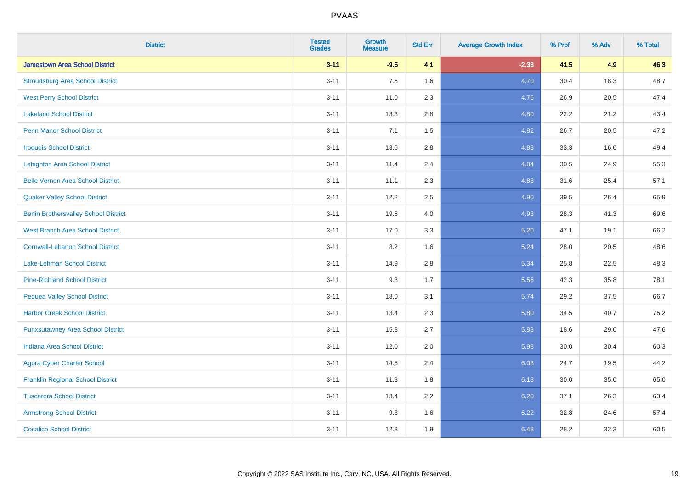| <b>District</b>                              | <b>Tested</b><br><b>Grades</b> | <b>Growth</b><br><b>Measure</b> | <b>Std Err</b> | <b>Average Growth Index</b> | % Prof | % Adv | % Total |
|----------------------------------------------|--------------------------------|---------------------------------|----------------|-----------------------------|--------|-------|---------|
| <b>Jamestown Area School District</b>        | $3 - 11$                       | $-9.5$                          | 4.1            | $-2.33$                     | 41.5   | 4.9   | 46.3    |
| <b>Stroudsburg Area School District</b>      | $3 - 11$                       | 7.5                             | 1.6            | 4.70                        | 30.4   | 18.3  | 48.7    |
| <b>West Perry School District</b>            | $3 - 11$                       | 11.0                            | 2.3            | 4.76                        | 26.9   | 20.5  | 47.4    |
| <b>Lakeland School District</b>              | $3 - 11$                       | 13.3                            | 2.8            | 4.80                        | 22.2   | 21.2  | 43.4    |
| <b>Penn Manor School District</b>            | $3 - 11$                       | 7.1                             | 1.5            | 4.82                        | 26.7   | 20.5  | 47.2    |
| <b>Iroquois School District</b>              | $3 - 11$                       | 13.6                            | 2.8            | 4.83                        | 33.3   | 16.0  | 49.4    |
| <b>Lehighton Area School District</b>        | $3 - 11$                       | 11.4                            | 2.4            | 4.84                        | 30.5   | 24.9  | 55.3    |
| <b>Belle Vernon Area School District</b>     | $3 - 11$                       | 11.1                            | 2.3            | 4.88                        | 31.6   | 25.4  | 57.1    |
| <b>Quaker Valley School District</b>         | $3 - 11$                       | 12.2                            | 2.5            | 4.90                        | 39.5   | 26.4  | 65.9    |
| <b>Berlin Brothersvalley School District</b> | $3 - 11$                       | 19.6                            | 4.0            | 4.93                        | 28.3   | 41.3  | 69.6    |
| <b>West Branch Area School District</b>      | $3 - 11$                       | 17.0                            | 3.3            | 5.20                        | 47.1   | 19.1  | 66.2    |
| <b>Cornwall-Lebanon School District</b>      | $3 - 11$                       | 8.2                             | 1.6            | 5.24                        | 28.0   | 20.5  | 48.6    |
| Lake-Lehman School District                  | $3 - 11$                       | 14.9                            | 2.8            | 5.34                        | 25.8   | 22.5  | 48.3    |
| <b>Pine-Richland School District</b>         | $3 - 11$                       | 9.3                             | 1.7            | 5.56                        | 42.3   | 35.8  | 78.1    |
| <b>Pequea Valley School District</b>         | $3 - 11$                       | 18.0                            | 3.1            | 5.74                        | 29.2   | 37.5  | 66.7    |
| <b>Harbor Creek School District</b>          | $3 - 11$                       | 13.4                            | 2.3            | 5.80                        | 34.5   | 40.7  | 75.2    |
| <b>Punxsutawney Area School District</b>     | $3 - 11$                       | 15.8                            | 2.7            | 5.83                        | 18.6   | 29.0  | 47.6    |
| <b>Indiana Area School District</b>          | $3 - 11$                       | 12.0                            | 2.0            | 5.98                        | 30.0   | 30.4  | 60.3    |
| <b>Agora Cyber Charter School</b>            | $3 - 11$                       | 14.6                            | 2.4            | 6.03                        | 24.7   | 19.5  | 44.2    |
| <b>Franklin Regional School District</b>     | $3 - 11$                       | 11.3                            | 1.8            | 6.13                        | 30.0   | 35.0  | 65.0    |
| <b>Tuscarora School District</b>             | $3 - 11$                       | 13.4                            | 2.2            | 6.20                        | 37.1   | 26.3  | 63.4    |
| <b>Armstrong School District</b>             | $3 - 11$                       | 9.8                             | 1.6            | 6.22                        | 32.8   | 24.6  | 57.4    |
| <b>Cocalico School District</b>              | $3 - 11$                       | 12.3                            | 1.9            | 6.48                        | 28.2   | 32.3  | 60.5    |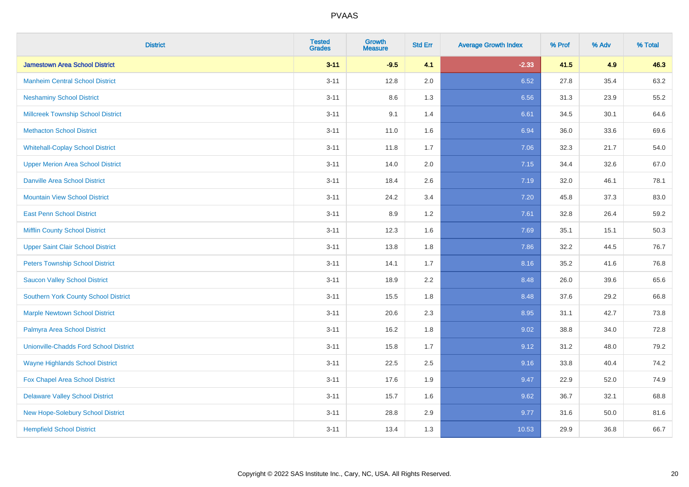| <b>District</b>                               | <b>Tested</b><br><b>Grades</b> | <b>Growth</b><br><b>Measure</b> | <b>Std Err</b> | <b>Average Growth Index</b> | % Prof | % Adv | % Total |
|-----------------------------------------------|--------------------------------|---------------------------------|----------------|-----------------------------|--------|-------|---------|
| <b>Jamestown Area School District</b>         | $3 - 11$                       | $-9.5$                          | 4.1            | $-2.33$                     | 41.5   | 4.9   | 46.3    |
| <b>Manheim Central School District</b>        | $3 - 11$                       | 12.8                            | 2.0            | 6.52                        | 27.8   | 35.4  | 63.2    |
| <b>Neshaminy School District</b>              | $3 - 11$                       | 8.6                             | 1.3            | 6.56                        | 31.3   | 23.9  | 55.2    |
| <b>Millcreek Township School District</b>     | $3 - 11$                       | 9.1                             | 1.4            | 6.61                        | 34.5   | 30.1  | 64.6    |
| <b>Methacton School District</b>              | $3 - 11$                       | 11.0                            | 1.6            | 6.94                        | 36.0   | 33.6  | 69.6    |
| <b>Whitehall-Coplay School District</b>       | $3 - 11$                       | 11.8                            | 1.7            | 7.06                        | 32.3   | 21.7  | 54.0    |
| <b>Upper Merion Area School District</b>      | $3 - 11$                       | 14.0                            | 2.0            | 7.15                        | 34.4   | 32.6  | 67.0    |
| <b>Danville Area School District</b>          | $3 - 11$                       | 18.4                            | 2.6            | 7.19                        | 32.0   | 46.1  | 78.1    |
| <b>Mountain View School District</b>          | $3 - 11$                       | 24.2                            | 3.4            | 7.20                        | 45.8   | 37.3  | 83.0    |
| <b>East Penn School District</b>              | $3 - 11$                       | 8.9                             | 1.2            | 7.61                        | 32.8   | 26.4  | 59.2    |
| <b>Mifflin County School District</b>         | $3 - 11$                       | 12.3                            | 1.6            | 7.69                        | 35.1   | 15.1  | 50.3    |
| <b>Upper Saint Clair School District</b>      | $3 - 11$                       | 13.8                            | 1.8            | 7.86                        | 32.2   | 44.5  | 76.7    |
| <b>Peters Township School District</b>        | $3 - 11$                       | 14.1                            | 1.7            | 8.16                        | 35.2   | 41.6  | 76.8    |
| <b>Saucon Valley School District</b>          | $3 - 11$                       | 18.9                            | 2.2            | 8.48                        | 26.0   | 39.6  | 65.6    |
| <b>Southern York County School District</b>   | $3 - 11$                       | 15.5                            | 1.8            | 8.48                        | 37.6   | 29.2  | 66.8    |
| <b>Marple Newtown School District</b>         | $3 - 11$                       | 20.6                            | 2.3            | 8.95                        | 31.1   | 42.7  | 73.8    |
| Palmyra Area School District                  | $3 - 11$                       | 16.2                            | 1.8            | 9.02                        | 38.8   | 34.0  | 72.8    |
| <b>Unionville-Chadds Ford School District</b> | $3 - 11$                       | 15.8                            | 1.7            | 9.12                        | 31.2   | 48.0  | 79.2    |
| <b>Wayne Highlands School District</b>        | $3 - 11$                       | 22.5                            | 2.5            | 9.16                        | 33.8   | 40.4  | 74.2    |
| Fox Chapel Area School District               | $3 - 11$                       | 17.6                            | 1.9            | 9.47                        | 22.9   | 52.0  | 74.9    |
| <b>Delaware Valley School District</b>        | $3 - 11$                       | 15.7                            | 1.6            | 9.62                        | 36.7   | 32.1  | 68.8    |
| New Hope-Solebury School District             | $3 - 11$                       | 28.8                            | 2.9            | 9.77                        | 31.6   | 50.0  | 81.6    |
| <b>Hempfield School District</b>              | $3 - 11$                       | 13.4                            | 1.3            | 10.53                       | 29.9   | 36.8  | 66.7    |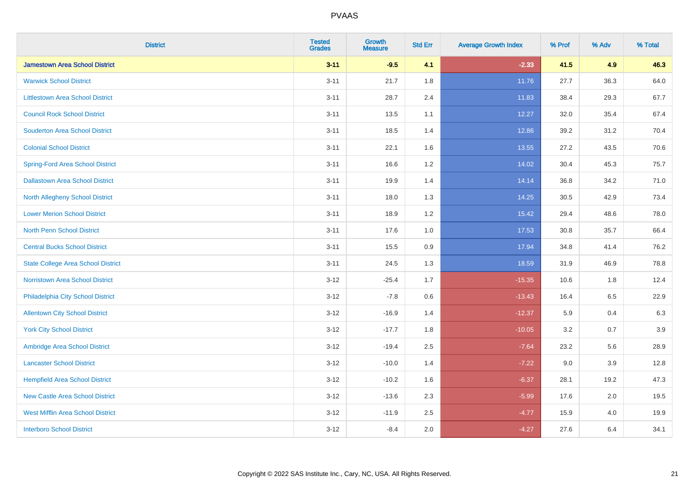| <b>District</b>                           | <b>Tested</b><br><b>Grades</b> | Growth<br><b>Measure</b> | <b>Std Err</b> | <b>Average Growth Index</b> | % Prof | % Adv   | % Total |
|-------------------------------------------|--------------------------------|--------------------------|----------------|-----------------------------|--------|---------|---------|
| <b>Jamestown Area School District</b>     | $3 - 11$                       | $-9.5$                   | 4.1            | $-2.33$                     | 41.5   | 4.9     | 46.3    |
| <b>Warwick School District</b>            | $3 - 11$                       | 21.7                     | 1.8            | 11.76                       | 27.7   | 36.3    | 64.0    |
| <b>Littlestown Area School District</b>   | $3 - 11$                       | 28.7                     | 2.4            | 11.83                       | 38.4   | 29.3    | 67.7    |
| <b>Council Rock School District</b>       | $3 - 11$                       | 13.5                     | 1.1            | 12.27                       | 32.0   | 35.4    | 67.4    |
| <b>Souderton Area School District</b>     | $3 - 11$                       | 18.5                     | 1.4            | 12.86                       | 39.2   | 31.2    | 70.4    |
| <b>Colonial School District</b>           | $3 - 11$                       | 22.1                     | 1.6            | 13.55                       | 27.2   | 43.5    | 70.6    |
| <b>Spring-Ford Area School District</b>   | $3 - 11$                       | 16.6                     | 1.2            | 14.02                       | 30.4   | 45.3    | 75.7    |
| <b>Dallastown Area School District</b>    | $3 - 11$                       | 19.9                     | 1.4            | 14.14                       | 36.8   | 34.2    | 71.0    |
| <b>North Allegheny School District</b>    | $3 - 11$                       | 18.0                     | 1.3            | 14.25                       | 30.5   | 42.9    | 73.4    |
| <b>Lower Merion School District</b>       | $3 - 11$                       | 18.9                     | 1.2            | 15.42                       | 29.4   | 48.6    | 78.0    |
| North Penn School District                | $3 - 11$                       | 17.6                     | 1.0            | 17.53                       | 30.8   | 35.7    | 66.4    |
| <b>Central Bucks School District</b>      | $3 - 11$                       | 15.5                     | 0.9            | 17.94                       | 34.8   | 41.4    | 76.2    |
| <b>State College Area School District</b> | $3 - 11$                       | 24.5                     | 1.3            | 18.59                       | 31.9   | 46.9    | 78.8    |
| Norristown Area School District           | $3 - 12$                       | $-25.4$                  | 1.7            | $-15.35$                    | 10.6   | 1.8     | 12.4    |
| Philadelphia City School District         | $3 - 12$                       | $-7.8$                   | 0.6            | $-13.43$                    | 16.4   | 6.5     | 22.9    |
| <b>Allentown City School District</b>     | $3 - 12$                       | $-16.9$                  | 1.4            | $-12.37$                    | 5.9    | 0.4     | 6.3     |
| <b>York City School District</b>          | $3 - 12$                       | $-17.7$                  | 1.8            | $-10.05$                    | 3.2    | 0.7     | 3.9     |
| Ambridge Area School District             | $3 - 12$                       | $-19.4$                  | 2.5            | $-7.64$                     | 23.2   | 5.6     | 28.9    |
| <b>Lancaster School District</b>          | $3 - 12$                       | $-10.0$                  | 1.4            | $-7.22$                     | 9.0    | 3.9     | 12.8    |
| <b>Hempfield Area School District</b>     | $3 - 12$                       | $-10.2$                  | 1.6            | $-6.37$                     | 28.1   | 19.2    | 47.3    |
| <b>New Castle Area School District</b>    | $3 - 12$                       | $-13.6$                  | 2.3            | $-5.99$                     | 17.6   | $2.0\,$ | 19.5    |
| <b>West Mifflin Area School District</b>  | $3 - 12$                       | $-11.9$                  | 2.5            | $-4.77$                     | 15.9   | 4.0     | 19.9    |
| <b>Interboro School District</b>          | $3 - 12$                       | $-8.4$                   | 2.0            | $-4.27$                     | 27.6   | 6.4     | 34.1    |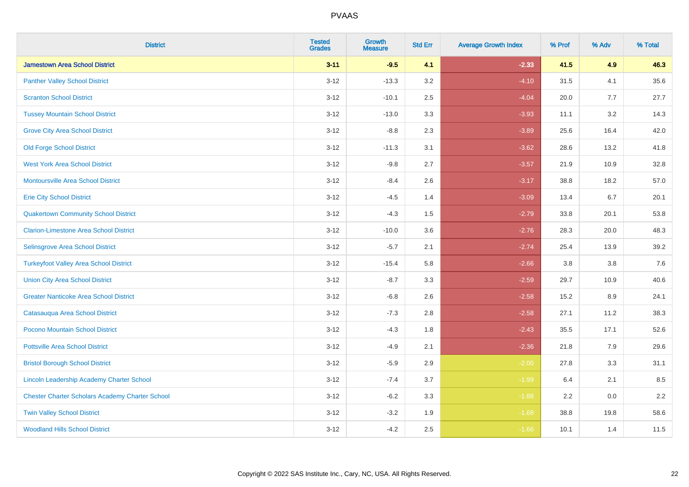| <b>District</b>                                        | <b>Tested</b><br><b>Grades</b> | <b>Growth</b><br><b>Measure</b> | <b>Std Err</b> | <b>Average Growth Index</b> | % Prof | % Adv   | % Total |
|--------------------------------------------------------|--------------------------------|---------------------------------|----------------|-----------------------------|--------|---------|---------|
| <b>Jamestown Area School District</b>                  | $3 - 11$                       | $-9.5$                          | 4.1            | $-2.33$                     | 41.5   | 4.9     | 46.3    |
| <b>Panther Valley School District</b>                  | $3 - 12$                       | $-13.3$                         | 3.2            | $-4.10$                     | 31.5   | 4.1     | 35.6    |
| <b>Scranton School District</b>                        | $3 - 12$                       | $-10.1$                         | 2.5            | $-4.04$                     | 20.0   | 7.7     | 27.7    |
| <b>Tussey Mountain School District</b>                 | $3 - 12$                       | $-13.0$                         | 3.3            | $-3.93$                     | 11.1   | 3.2     | 14.3    |
| <b>Grove City Area School District</b>                 | $3 - 12$                       | $-8.8$                          | 2.3            | $-3.89$                     | 25.6   | 16.4    | 42.0    |
| <b>Old Forge School District</b>                       | $3 - 12$                       | $-11.3$                         | 3.1            | $-3.62$                     | 28.6   | 13.2    | 41.8    |
| <b>West York Area School District</b>                  | $3 - 12$                       | $-9.8$                          | 2.7            | $-3.57$                     | 21.9   | 10.9    | 32.8    |
| <b>Montoursville Area School District</b>              | $3 - 12$                       | $-8.4$                          | 2.6            | $-3.17$                     | 38.8   | 18.2    | 57.0    |
| <b>Erie City School District</b>                       | $3 - 12$                       | $-4.5$                          | 1.4            | $-3.09$                     | 13.4   | 6.7     | 20.1    |
| <b>Quakertown Community School District</b>            | $3-12$                         | $-4.3$                          | 1.5            | $-2.79$                     | 33.8   | 20.1    | 53.8    |
| <b>Clarion-Limestone Area School District</b>          | $3-12$                         | $-10.0$                         | 3.6            | $-2.76$                     | 28.3   | 20.0    | 48.3    |
| Selinsgrove Area School District                       | $3 - 12$                       | $-5.7$                          | 2.1            | $-2.74$                     | 25.4   | 13.9    | 39.2    |
| <b>Turkeyfoot Valley Area School District</b>          | $3 - 12$                       | $-15.4$                         | 5.8            | $-2.66$                     | 3.8    | $3.8\,$ | 7.6     |
| <b>Union City Area School District</b>                 | $3 - 12$                       | $-8.7$                          | 3.3            | $-2.59$                     | 29.7   | 10.9    | 40.6    |
| <b>Greater Nanticoke Area School District</b>          | $3 - 12$                       | $-6.8$                          | 2.6            | $-2.58$                     | 15.2   | 8.9     | 24.1    |
| Catasauqua Area School District                        | $3 - 12$                       | $-7.3$                          | 2.8            | $-2.58$                     | 27.1   | 11.2    | 38.3    |
| Pocono Mountain School District                        | $3 - 12$                       | $-4.3$                          | 1.8            | $-2.43$                     | 35.5   | 17.1    | 52.6    |
| <b>Pottsville Area School District</b>                 | $3 - 12$                       | $-4.9$                          | 2.1            | $-2.36$                     | 21.8   | 7.9     | 29.6    |
| <b>Bristol Borough School District</b>                 | $3-12$                         | $-5.9$                          | 2.9            | $-2.00$                     | 27.8   | 3.3     | 31.1    |
| <b>Lincoln Leadership Academy Charter School</b>       | $3 - 12$                       | $-7.4$                          | 3.7            | $-1.99$                     | 6.4    | 2.1     | 8.5     |
| <b>Chester Charter Scholars Academy Charter School</b> | $3 - 12$                       | $-6.2$                          | 3.3            | $-1.88$                     | 2.2    | 0.0     | 2.2     |
| <b>Twin Valley School District</b>                     | $3 - 12$                       | $-3.2$                          | 1.9            | $-1.68$                     | 38.8   | 19.8    | 58.6    |
| <b>Woodland Hills School District</b>                  | $3-12$                         | $-4.2$                          | 2.5            | $-1.66$                     | 10.1   | 1.4     | 11.5    |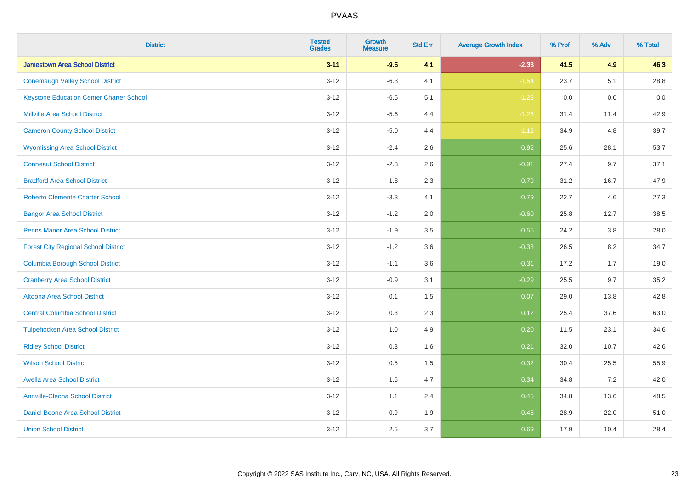| <b>District</b>                                 | <b>Tested</b><br><b>Grades</b> | <b>Growth</b><br><b>Measure</b> | <b>Std Err</b> | <b>Average Growth Index</b> | % Prof | % Adv | % Total |
|-------------------------------------------------|--------------------------------|---------------------------------|----------------|-----------------------------|--------|-------|---------|
| <b>Jamestown Area School District</b>           | $3 - 11$                       | $-9.5$                          | 4.1            | $-2.33$                     | 41.5   | 4.9   | 46.3    |
| <b>Conemaugh Valley School District</b>         | $3 - 12$                       | $-6.3$                          | 4.1            | $-1.54$                     | 23.7   | 5.1   | 28.8    |
| <b>Keystone Education Center Charter School</b> | $3 - 12$                       | $-6.5$                          | 5.1            | $-1.28$                     | 0.0    | 0.0   | 0.0     |
| <b>Millville Area School District</b>           | $3 - 12$                       | $-5.6$                          | 4.4            | $-1.26$                     | 31.4   | 11.4  | 42.9    |
| <b>Cameron County School District</b>           | $3 - 12$                       | $-5.0$                          | 4.4            | $-1.12$                     | 34.9   | 4.8   | 39.7    |
| <b>Wyomissing Area School District</b>          | $3 - 12$                       | $-2.4$                          | 2.6            | $-0.92$                     | 25.6   | 28.1  | 53.7    |
| <b>Conneaut School District</b>                 | $3 - 12$                       | $-2.3$                          | 2.6            | $-0.91$                     | 27.4   | 9.7   | 37.1    |
| <b>Bradford Area School District</b>            | $3-12$                         | $-1.8$                          | 2.3            | $-0.79$                     | 31.2   | 16.7  | 47.9    |
| <b>Roberto Clemente Charter School</b>          | $3 - 12$                       | $-3.3$                          | 4.1            | $-0.79$                     | 22.7   | 4.6   | 27.3    |
| <b>Bangor Area School District</b>              | $3 - 12$                       | $-1.2$                          | 2.0            | $-0.60$                     | 25.8   | 12.7  | 38.5    |
| <b>Penns Manor Area School District</b>         | $3 - 12$                       | $-1.9$                          | 3.5            | $-0.55$                     | 24.2   | 3.8   | 28.0    |
| <b>Forest City Regional School District</b>     | $3 - 12$                       | $-1.2$                          | 3.6            | $-0.33$                     | 26.5   | 8.2   | 34.7    |
| <b>Columbia Borough School District</b>         | $3 - 12$                       | $-1.1$                          | 3.6            | $-0.31$                     | 17.2   | 1.7   | 19.0    |
| <b>Cranberry Area School District</b>           | $3 - 12$                       | $-0.9$                          | 3.1            | $-0.29$                     | 25.5   | 9.7   | 35.2    |
| Altoona Area School District                    | $3 - 12$                       | 0.1                             | 1.5            | 0.07                        | 29.0   | 13.8  | 42.8    |
| <b>Central Columbia School District</b>         | $3 - 12$                       | 0.3                             | 2.3            | 0.12                        | 25.4   | 37.6  | 63.0    |
| <b>Tulpehocken Area School District</b>         | $3 - 12$                       | $1.0\,$                         | 4.9            | 0.20                        | 11.5   | 23.1  | 34.6    |
| <b>Ridley School District</b>                   | $3-12$                         | 0.3                             | 1.6            | 0.21                        | 32.0   | 10.7  | 42.6    |
| <b>Wilson School District</b>                   | $3 - 12$                       | 0.5                             | 1.5            | 0.32                        | 30.4   | 25.5  | 55.9    |
| <b>Avella Area School District</b>              | $3 - 12$                       | 1.6                             | 4.7            | 0.34                        | 34.8   | 7.2   | 42.0    |
| <b>Annville-Cleona School District</b>          | $3 - 12$                       | 1.1                             | 2.4            | 0.45                        | 34.8   | 13.6  | 48.5    |
| Daniel Boone Area School District               | $3 - 12$                       | $0.9\,$                         | 1.9            | 0.46                        | 28.9   | 22.0  | 51.0    |
| <b>Union School District</b>                    | $3-12$                         | 2.5                             | 3.7            | 0.69                        | 17.9   | 10.4  | 28.4    |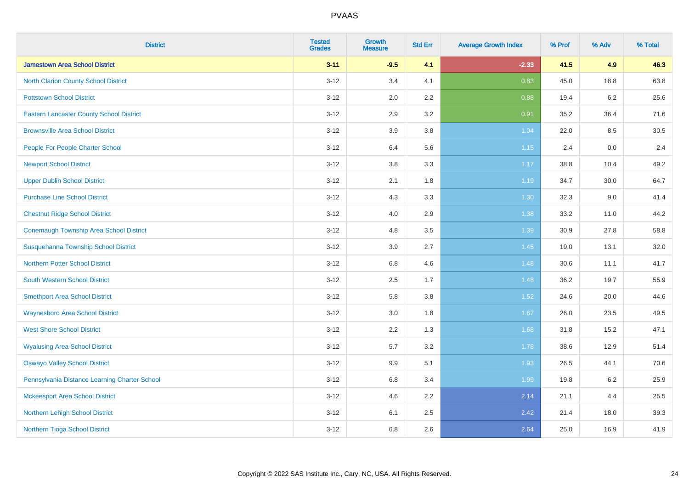| <b>District</b>                                 | <b>Tested</b><br><b>Grades</b> | <b>Growth</b><br><b>Measure</b> | <b>Std Err</b> | <b>Average Growth Index</b> | % Prof | % Adv   | % Total |
|-------------------------------------------------|--------------------------------|---------------------------------|----------------|-----------------------------|--------|---------|---------|
| <b>Jamestown Area School District</b>           | $3 - 11$                       | $-9.5$                          | 4.1            | $-2.33$                     | 41.5   | 4.9     | 46.3    |
| <b>North Clarion County School District</b>     | $3 - 12$                       | 3.4                             | 4.1            | 0.83                        | 45.0   | 18.8    | 63.8    |
| <b>Pottstown School District</b>                | $3 - 12$                       | 2.0                             | 2.2            | 0.88                        | 19.4   | $6.2\,$ | 25.6    |
| <b>Eastern Lancaster County School District</b> | $3-12$                         | 2.9                             | 3.2            | 0.91                        | 35.2   | 36.4    | 71.6    |
| <b>Brownsville Area School District</b>         | $3 - 12$                       | 3.9                             | 3.8            | 1.04                        | 22.0   | 8.5     | 30.5    |
| People For People Charter School                | $3 - 12$                       | 6.4                             | 5.6            | 1.15                        | 2.4    | 0.0     | 2.4     |
| <b>Newport School District</b>                  | $3-12$                         | $3.8\,$                         | 3.3            | 1.17                        | 38.8   | 10.4    | 49.2    |
| <b>Upper Dublin School District</b>             | $3 - 12$                       | 2.1                             | 1.8            | 1.19                        | 34.7   | 30.0    | 64.7    |
| <b>Purchase Line School District</b>            | $3 - 12$                       | 4.3                             | 3.3            | 1.30                        | 32.3   | 9.0     | 41.4    |
| <b>Chestnut Ridge School District</b>           | $3 - 12$                       | 4.0                             | 2.9            | 1.38                        | 33.2   | 11.0    | 44.2    |
| <b>Conemaugh Township Area School District</b>  | $3 - 12$                       | 4.8                             | 3.5            | 1.39                        | 30.9   | 27.8    | 58.8    |
| Susquehanna Township School District            | $3 - 12$                       | 3.9                             | 2.7            | 1.45                        | 19.0   | 13.1    | 32.0    |
| <b>Northern Potter School District</b>          | $3 - 12$                       | 6.8                             | 4.6            | 1.48                        | 30.6   | 11.1    | 41.7    |
| <b>South Western School District</b>            | $3-12$                         | 2.5                             | 1.7            | 1.48                        | 36.2   | 19.7    | 55.9    |
| <b>Smethport Area School District</b>           | $3 - 12$                       | 5.8                             | 3.8            | 1.52                        | 24.6   | 20.0    | 44.6    |
| <b>Waynesboro Area School District</b>          | $3 - 12$                       | 3.0                             | 1.8            | 1.67                        | 26.0   | 23.5    | 49.5    |
| <b>West Shore School District</b>               | $3 - 12$                       | 2.2                             | 1.3            | 1.68                        | 31.8   | 15.2    | 47.1    |
| <b>Wyalusing Area School District</b>           | $3 - 12$                       | 5.7                             | 3.2            | 1.78                        | 38.6   | 12.9    | 51.4    |
| <b>Oswayo Valley School District</b>            | $3 - 12$                       | 9.9                             | 5.1            | 1.93                        | 26.5   | 44.1    | 70.6    |
| Pennsylvania Distance Learning Charter School   | $3 - 12$                       | 6.8                             | 3.4            | 1.99                        | 19.8   | $6.2\,$ | 25.9    |
| <b>Mckeesport Area School District</b>          | $3-12$                         | 4.6                             | 2.2            | 2.14                        | 21.1   | 4.4     | 25.5    |
| Northern Lehigh School District                 | $3 - 12$                       | 6.1                             | 2.5            | 2.42                        | 21.4   | 18.0    | 39.3    |
| Northern Tioga School District                  | $3 - 12$                       | 6.8                             | 2.6            | 2.64                        | 25.0   | 16.9    | 41.9    |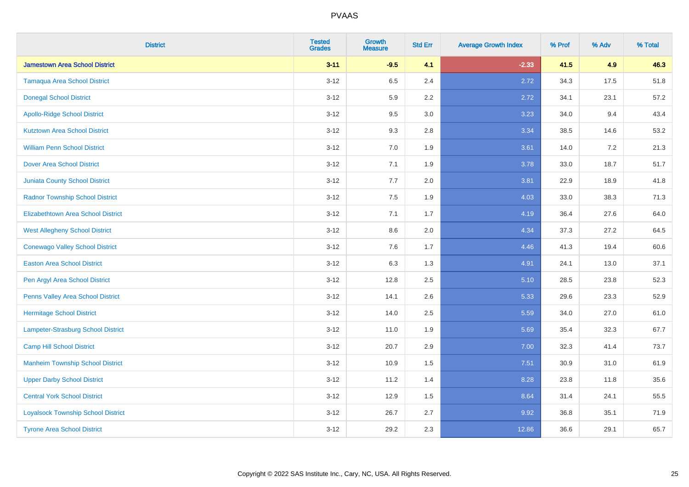| <b>District</b>                           | <b>Tested</b><br><b>Grades</b> | <b>Growth</b><br><b>Measure</b> | <b>Std Err</b> | <b>Average Growth Index</b> | % Prof | % Adv | % Total |
|-------------------------------------------|--------------------------------|---------------------------------|----------------|-----------------------------|--------|-------|---------|
| <b>Jamestown Area School District</b>     | $3 - 11$                       | $-9.5$                          | 4.1            | $-2.33$                     | 41.5   | 4.9   | 46.3    |
| <b>Tamaqua Area School District</b>       | $3 - 12$                       | 6.5                             | 2.4            | 2.72                        | 34.3   | 17.5  | 51.8    |
| <b>Donegal School District</b>            | $3 - 12$                       | 5.9                             | 2.2            | 2.72                        | 34.1   | 23.1  | 57.2    |
| <b>Apollo-Ridge School District</b>       | $3 - 12$                       | 9.5                             | 3.0            | 3.23                        | 34.0   | 9.4   | 43.4    |
| <b>Kutztown Area School District</b>      | $3 - 12$                       | 9.3                             | 2.8            | 3.34                        | 38.5   | 14.6  | 53.2    |
| <b>William Penn School District</b>       | $3 - 12$                       | 7.0                             | 1.9            | 3.61                        | 14.0   | 7.2   | 21.3    |
| <b>Dover Area School District</b>         | $3 - 12$                       | 7.1                             | 1.9            | 3.78                        | 33.0   | 18.7  | 51.7    |
| <b>Juniata County School District</b>     | $3 - 12$                       | 7.7                             | 2.0            | 3.81                        | 22.9   | 18.9  | 41.8    |
| <b>Radnor Township School District</b>    | $3 - 12$                       | 7.5                             | 1.9            | 4.03                        | 33.0   | 38.3  | 71.3    |
| <b>Elizabethtown Area School District</b> | $3 - 12$                       | 7.1                             | 1.7            | 4.19                        | 36.4   | 27.6  | 64.0    |
| <b>West Allegheny School District</b>     | $3 - 12$                       | 8.6                             | 2.0            | 4.34                        | 37.3   | 27.2  | 64.5    |
| <b>Conewago Valley School District</b>    | $3 - 12$                       | 7.6                             | 1.7            | 4.46                        | 41.3   | 19.4  | 60.6    |
| <b>Easton Area School District</b>        | $3 - 12$                       | 6.3                             | 1.3            | 4.91                        | 24.1   | 13.0  | 37.1    |
| Pen Argyl Area School District            | $3 - 12$                       | 12.8                            | 2.5            | 5.10                        | 28.5   | 23.8  | 52.3    |
| Penns Valley Area School District         | $3 - 12$                       | 14.1                            | 2.6            | 5.33                        | 29.6   | 23.3  | 52.9    |
| <b>Hermitage School District</b>          | $3 - 12$                       | 14.0                            | 2.5            | 5.59                        | 34.0   | 27.0  | 61.0    |
| <b>Lampeter-Strasburg School District</b> | $3 - 12$                       | 11.0                            | 1.9            | 5.69                        | 35.4   | 32.3  | 67.7    |
| <b>Camp Hill School District</b>          | $3 - 12$                       | 20.7                            | 2.9            | 7.00                        | 32.3   | 41.4  | 73.7    |
| <b>Manheim Township School District</b>   | $3 - 12$                       | 10.9                            | 1.5            | 7.51                        | 30.9   | 31.0  | 61.9    |
| <b>Upper Darby School District</b>        | $3 - 12$                       | 11.2                            | 1.4            | 8.28                        | 23.8   | 11.8  | 35.6    |
| <b>Central York School District</b>       | $3 - 12$                       | 12.9                            | 1.5            | 8.64                        | 31.4   | 24.1  | 55.5    |
| <b>Loyalsock Township School District</b> | $3 - 12$                       | 26.7                            | 2.7            | 9.92                        | 36.8   | 35.1  | 71.9    |
| <b>Tyrone Area School District</b>        | $3 - 12$                       | 29.2                            | 2.3            | 12.86                       | 36.6   | 29.1  | 65.7    |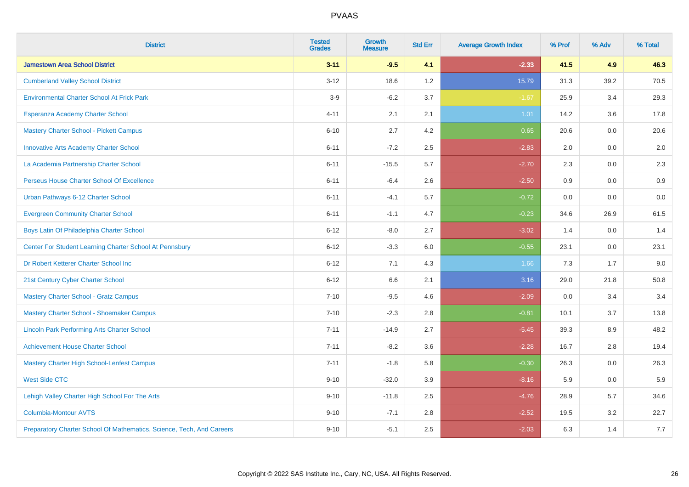| <b>District</b>                                                       | <b>Tested</b><br><b>Grades</b> | <b>Growth</b><br><b>Measure</b> | <b>Std Err</b> | <b>Average Growth Index</b> | % Prof | % Adv | % Total |
|-----------------------------------------------------------------------|--------------------------------|---------------------------------|----------------|-----------------------------|--------|-------|---------|
| <b>Jamestown Area School District</b>                                 | $3 - 11$                       | $-9.5$                          | 4.1            | $-2.33$                     | 41.5   | 4.9   | 46.3    |
| <b>Cumberland Valley School District</b>                              | $3 - 12$                       | 18.6                            | 1.2            | 15.79                       | 31.3   | 39.2  | 70.5    |
| <b>Environmental Charter School At Frick Park</b>                     | $3-9$                          | $-6.2$                          | 3.7            | $-1.67$                     | 25.9   | 3.4   | 29.3    |
| Esperanza Academy Charter School                                      | $4 - 11$                       | 2.1                             | 2.1            | 1.01                        | 14.2   | 3.6   | 17.8    |
| <b>Mastery Charter School - Pickett Campus</b>                        | $6 - 10$                       | 2.7                             | 4.2            | 0.65                        | 20.6   | 0.0   | 20.6    |
| <b>Innovative Arts Academy Charter School</b>                         | $6 - 11$                       | $-7.2$                          | 2.5            | $-2.83$                     | 2.0    | 0.0   | 2.0     |
| La Academia Partnership Charter School                                | $6 - 11$                       | $-15.5$                         | 5.7            | $-2.70$                     | 2.3    | 0.0   | 2.3     |
| Perseus House Charter School Of Excellence                            | $6 - 11$                       | $-6.4$                          | 2.6            | $-2.50$                     | 0.9    | 0.0   | 0.9     |
| Urban Pathways 6-12 Charter School                                    | $6 - 11$                       | $-4.1$                          | 5.7            | $-0.72$                     | 0.0    | 0.0   | $0.0\,$ |
| <b>Evergreen Community Charter School</b>                             | $6 - 11$                       | $-1.1$                          | 4.7            | $-0.23$                     | 34.6   | 26.9  | 61.5    |
| Boys Latin Of Philadelphia Charter School                             | $6 - 12$                       | $-8.0$                          | 2.7            | $-3.02$                     | 1.4    | 0.0   | 1.4     |
| Center For Student Learning Charter School At Pennsbury               | $6 - 12$                       | $-3.3$                          | 6.0            | $-0.55$                     | 23.1   | 0.0   | 23.1    |
| Dr Robert Ketterer Charter School Inc                                 | $6 - 12$                       | 7.1                             | 4.3            | 1.66                        | 7.3    | 1.7   | 9.0     |
| 21st Century Cyber Charter School                                     | $6 - 12$                       | 6.6                             | 2.1            | 3.16                        | 29.0   | 21.8  | 50.8    |
| <b>Mastery Charter School - Gratz Campus</b>                          | $7 - 10$                       | $-9.5$                          | 4.6            | $-2.09$                     | 0.0    | 3.4   | 3.4     |
| Mastery Charter School - Shoemaker Campus                             | $7 - 10$                       | $-2.3$                          | 2.8            | $-0.81$                     | 10.1   | 3.7   | 13.8    |
| <b>Lincoln Park Performing Arts Charter School</b>                    | $7 - 11$                       | $-14.9$                         | 2.7            | $-5.45$                     | 39.3   | 8.9   | 48.2    |
| <b>Achievement House Charter School</b>                               | $7 - 11$                       | $-8.2$                          | 3.6            | $-2.28$                     | 16.7   | 2.8   | 19.4    |
| <b>Mastery Charter High School-Lenfest Campus</b>                     | $7 - 11$                       | $-1.8$                          | 5.8            | $-0.30$                     | 26.3   | 0.0   | 26.3    |
| <b>West Side CTC</b>                                                  | $9 - 10$                       | $-32.0$                         | 3.9            | $-8.16$                     | 5.9    | 0.0   | 5.9     |
| Lehigh Valley Charter High School For The Arts                        | $9 - 10$                       | $-11.8$                         | 2.5            | $-4.76$                     | 28.9   | 5.7   | 34.6    |
| <b>Columbia-Montour AVTS</b>                                          | $9 - 10$                       | $-7.1$                          | 2.8            | $-2.52$                     | 19.5   | 3.2   | 22.7    |
| Preparatory Charter School Of Mathematics, Science, Tech, And Careers | $9 - 10$                       | $-5.1$                          | 2.5            | $-2.03$                     | 6.3    | 1.4   | 7.7     |